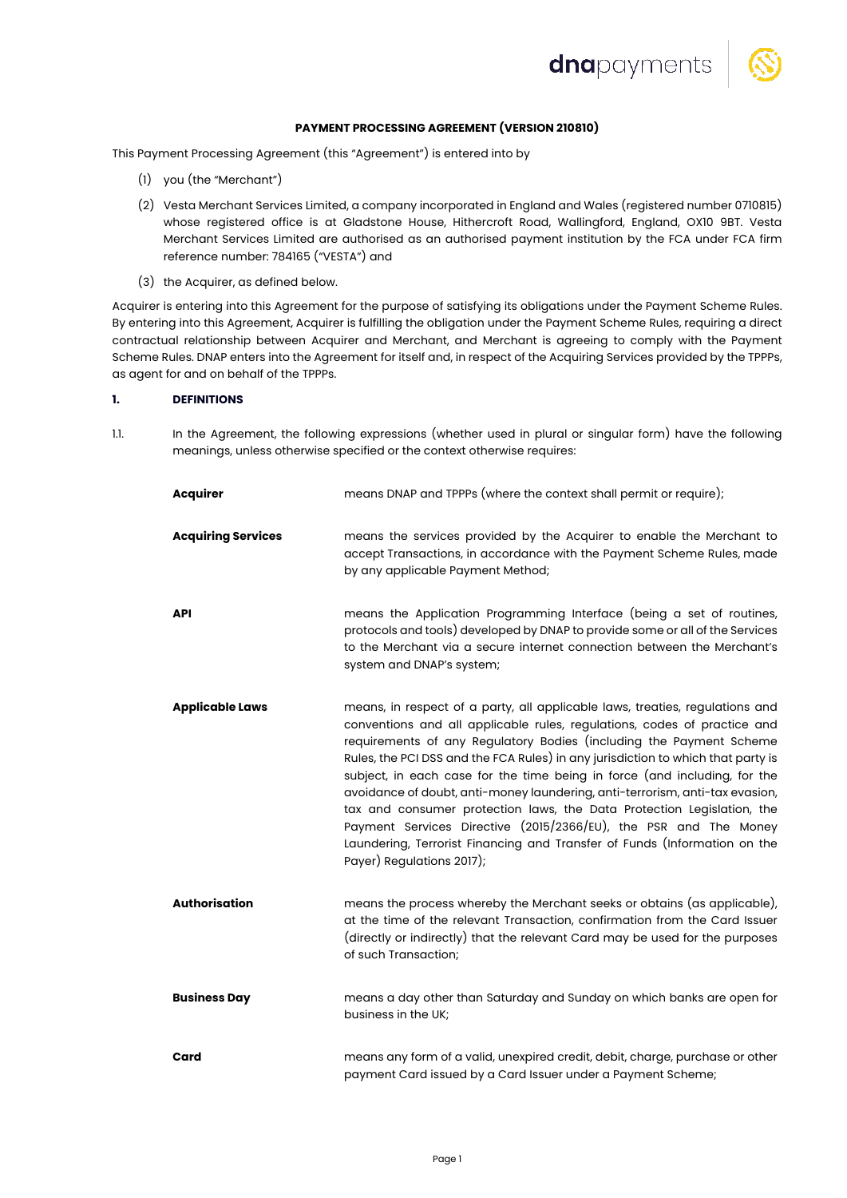



# **PAYMENT PROCESSING AGREEMENT (VERSION 210810)**

This Payment Processing Agreement (this "Agreement") is entered into by

- (1) you (the "Merchant")
- (2) Vesta Merchant Services Limited, a company incorporated in England and Wales (registered number 0710815) whose registered office is at Gladstone House, Hithercroft Road, Wallingford, England, OX10 9BT. Vesta Merchant Services Limited are authorised as an authorised payment institution by the FCA under FCA firm reference number: 784165 ("VESTA") and
- (3) the Acquirer, as defined below.

Acquirer is entering into this Agreement for the purpose of satisfying its obligations under the Payment Scheme Rules. By entering into this Agreement, Acquirer is fulfilling the obligation under the Payment Scheme Rules, requiring a direct contractual relationship between Acquirer and Merchant, and Merchant is agreeing to comply with the Payment Scheme Rules. DNAP enters into the Agreement for itself and, in respect of the Acquiring Services provided by the TPPPs, as agent for and on behalf of the TPPPs.

# **1. DEFINITIONS**

1.1. In the Agreement, the following expressions (whether used in plural or singular form) have the following meanings, unless otherwise specified or the context otherwise requires:

| <b>Acquirer</b>           | means DNAP and TPPPs (where the context shall permit or require);                                                                                                                                                                                                                                                                                                                                                                                                                                                                                                                                                                                                                                                                        |
|---------------------------|------------------------------------------------------------------------------------------------------------------------------------------------------------------------------------------------------------------------------------------------------------------------------------------------------------------------------------------------------------------------------------------------------------------------------------------------------------------------------------------------------------------------------------------------------------------------------------------------------------------------------------------------------------------------------------------------------------------------------------------|
| <b>Acquiring Services</b> | means the services provided by the Acquirer to enable the Merchant to<br>accept Transactions, in accordance with the Payment Scheme Rules, made<br>by any applicable Payment Method;                                                                                                                                                                                                                                                                                                                                                                                                                                                                                                                                                     |
| <b>API</b>                | means the Application Programming Interface (being a set of routines,<br>protocols and tools) developed by DNAP to provide some or all of the Services<br>to the Merchant via a secure internet connection between the Merchant's<br>system and DNAP's system;                                                                                                                                                                                                                                                                                                                                                                                                                                                                           |
| <b>Applicable Laws</b>    | means, in respect of a party, all applicable laws, treaties, regulations and<br>conventions and all applicable rules, regulations, codes of practice and<br>requirements of any Regulatory Bodies (including the Payment Scheme<br>Rules, the PCI DSS and the FCA Rules) in any jurisdiction to which that party is<br>subject, in each case for the time being in force (and including, for the<br>avoidance of doubt, anti-money laundering, anti-terrorism, anti-tax evasion,<br>tax and consumer protection laws, the Data Protection Legislation, the<br>Payment Services Directive (2015/2366/EU), the PSR and The Money<br>Laundering, Terrorist Financing and Transfer of Funds (Information on the<br>Payer) Regulations 2017); |
| <b>Authorisation</b>      | means the process whereby the Merchant seeks or obtains (as applicable),<br>at the time of the relevant Transaction, confirmation from the Card Issuer<br>(directly or indirectly) that the relevant Card may be used for the purposes<br>of such Transaction;                                                                                                                                                                                                                                                                                                                                                                                                                                                                           |
| <b>Business Day</b>       | means a day other than Saturday and Sunday on which banks are open for<br>business in the UK;                                                                                                                                                                                                                                                                                                                                                                                                                                                                                                                                                                                                                                            |
| Card                      | means any form of a valid, unexpired credit, debit, charge, purchase or other<br>payment Card issued by a Card Issuer under a Payment Scheme;                                                                                                                                                                                                                                                                                                                                                                                                                                                                                                                                                                                            |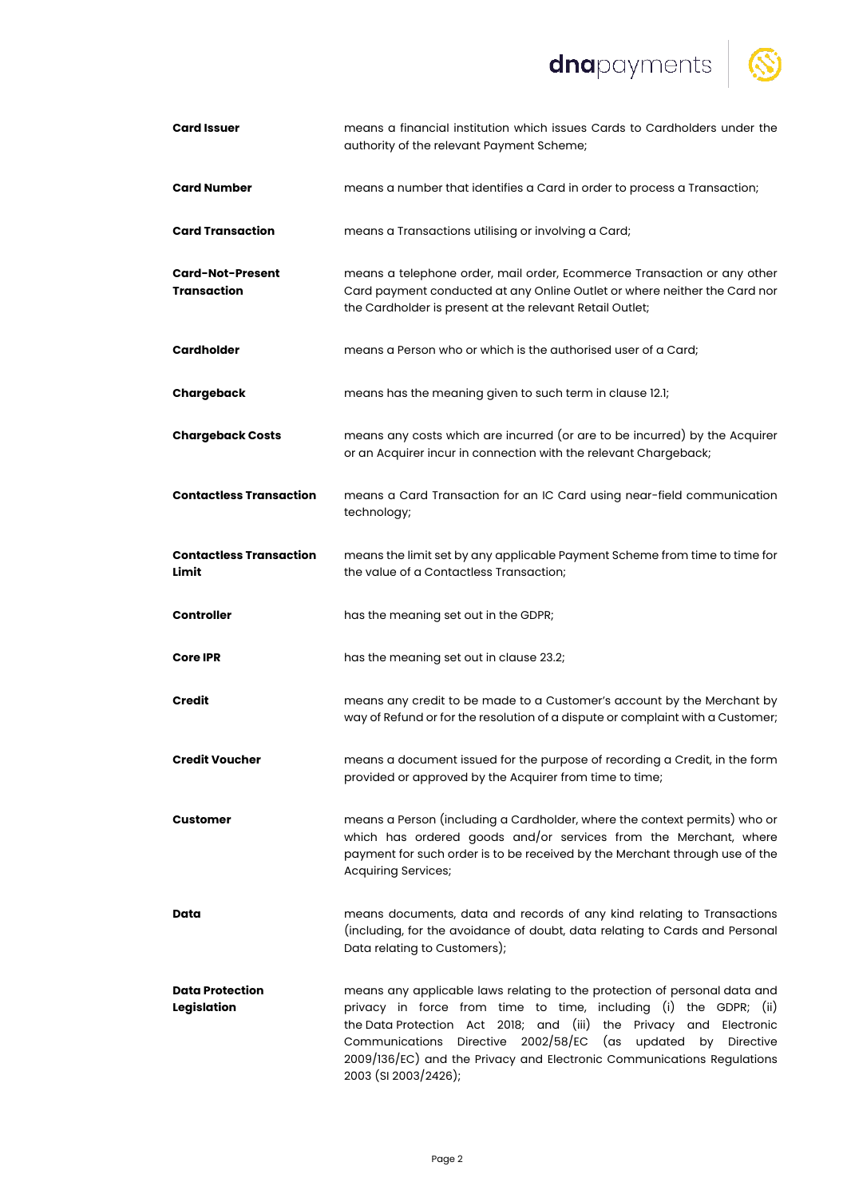dnapayments



| <b>Card Issuer</b>                            | means a financial institution which issues Cards to Cardholders under the<br>authority of the relevant Payment Scheme;                                                                                                                                                                                                                                                                         |
|-----------------------------------------------|------------------------------------------------------------------------------------------------------------------------------------------------------------------------------------------------------------------------------------------------------------------------------------------------------------------------------------------------------------------------------------------------|
| <b>Card Number</b>                            | means a number that identifies a Card in order to process a Transaction;                                                                                                                                                                                                                                                                                                                       |
| <b>Card Transaction</b>                       | means a Transactions utilising or involving a Card;                                                                                                                                                                                                                                                                                                                                            |
| <b>Card-Not-Present</b><br><b>Transaction</b> | means a telephone order, mail order, Ecommerce Transaction or any other<br>Card payment conducted at any Online Outlet or where neither the Card nor<br>the Cardholder is present at the relevant Retail Outlet;                                                                                                                                                                               |
| <b>Cardholder</b>                             | means a Person who or which is the authorised user of a Card;                                                                                                                                                                                                                                                                                                                                  |
| Chargeback                                    | means has the meaning given to such term in clause 12.1;                                                                                                                                                                                                                                                                                                                                       |
| <b>Chargeback Costs</b>                       | means any costs which are incurred (or are to be incurred) by the Acquirer<br>or an Acquirer incur in connection with the relevant Chargeback;                                                                                                                                                                                                                                                 |
| <b>Contactless Transaction</b>                | means a Card Transaction for an IC Card using near-field communication<br>technology;                                                                                                                                                                                                                                                                                                          |
| <b>Contactless Transaction</b><br>Limit       | means the limit set by any applicable Payment Scheme from time to time for<br>the value of a Contactless Transaction;                                                                                                                                                                                                                                                                          |
| <b>Controller</b>                             | has the meaning set out in the GDPR;                                                                                                                                                                                                                                                                                                                                                           |
| <b>Core IPR</b>                               | has the meaning set out in clause 23.2;                                                                                                                                                                                                                                                                                                                                                        |
| Credit                                        | means any credit to be made to a Customer's account by the Merchant by<br>way of Refund or for the resolution of a dispute or complaint with a Customer;                                                                                                                                                                                                                                       |
| <b>Credit Voucher</b>                         | means a document issued for the purpose of recording a Credit, in the form<br>provided or approved by the Acquirer from time to time;                                                                                                                                                                                                                                                          |
| Customer                                      | means a Person (including a Cardholder, where the context permits) who or<br>which has ordered goods and/or services from the Merchant, where<br>payment for such order is to be received by the Merchant through use of the<br><b>Acquiring Services;</b>                                                                                                                                     |
| Data                                          | means documents, data and records of any kind relating to Transactions<br>(including, for the avoidance of doubt, data relating to Cards and Personal<br>Data relating to Customers);                                                                                                                                                                                                          |
| <b>Data Protection</b><br>Legislation         | means any applicable laws relating to the protection of personal data and<br>privacy in force from time to time, including (i) the GDPR; (ii)<br>the Data Protection Act 2018; and (iii) the Privacy and Electronic<br>Directive 2002/58/EC<br>Communications<br>(as updated<br>by Directive<br>2009/136/EC) and the Privacy and Electronic Communications Regulations<br>2003 (SI 2003/2426); |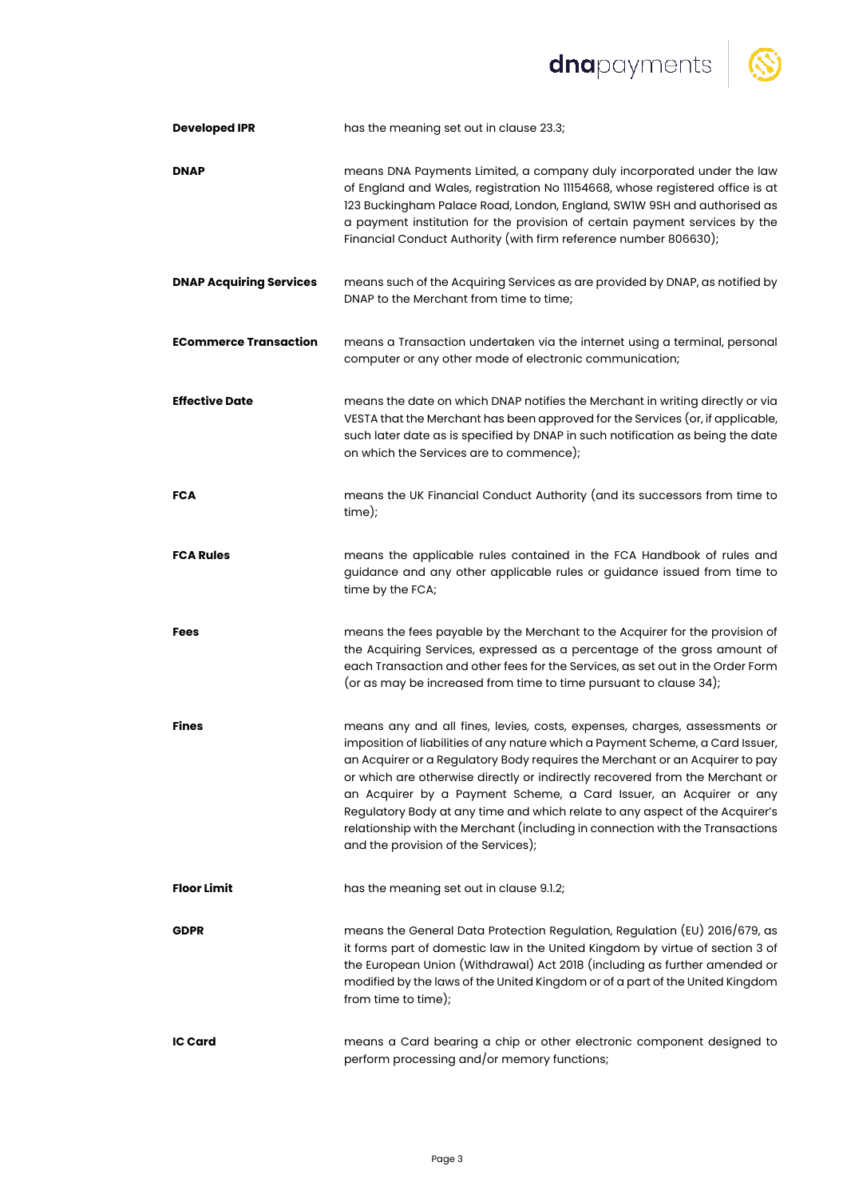# dnapayments | S



| <b>Developed IPR</b>           | has the meaning set out in clause 23.3;                                                                                                                                                                                                                                                                                                                                                                                                                                                                                                                                                                   |
|--------------------------------|-----------------------------------------------------------------------------------------------------------------------------------------------------------------------------------------------------------------------------------------------------------------------------------------------------------------------------------------------------------------------------------------------------------------------------------------------------------------------------------------------------------------------------------------------------------------------------------------------------------|
| <b>DNAP</b>                    | means DNA Payments Limited, a company duly incorporated under the law<br>of England and Wales, registration No 11154668, whose registered office is at<br>123 Buckingham Palace Road, London, England, SWIW 9SH and authorised as<br>a payment institution for the provision of certain payment services by the<br>Financial Conduct Authority (with firm reference number 806630);                                                                                                                                                                                                                       |
| <b>DNAP Acquiring Services</b> | means such of the Acquiring Services as are provided by DNAP, as notified by<br>DNAP to the Merchant from time to time;                                                                                                                                                                                                                                                                                                                                                                                                                                                                                   |
| <b>ECommerce Transaction</b>   | means a Transaction undertaken via the internet using a terminal, personal<br>computer or any other mode of electronic communication;                                                                                                                                                                                                                                                                                                                                                                                                                                                                     |
| <b>Effective Date</b>          | means the date on which DNAP notifies the Merchant in writing directly or via<br>VESTA that the Merchant has been approved for the Services (or, if applicable,<br>such later date as is specified by DNAP in such notification as being the date<br>on which the Services are to commence);                                                                                                                                                                                                                                                                                                              |
| FCA                            | means the UK Financial Conduct Authority (and its successors from time to<br>time);                                                                                                                                                                                                                                                                                                                                                                                                                                                                                                                       |
| <b>FCA Rules</b>               | means the applicable rules contained in the FCA Handbook of rules and<br>guidance and any other applicable rules or guidance issued from time to<br>time by the FCA;                                                                                                                                                                                                                                                                                                                                                                                                                                      |
| Fees                           | means the fees payable by the Merchant to the Acquirer for the provision of<br>the Acquiring Services, expressed as a percentage of the gross amount of<br>each Transaction and other fees for the Services, as set out in the Order Form<br>(or as may be increased from time to time pursuant to clause 34);                                                                                                                                                                                                                                                                                            |
| <b>Fines</b>                   | means any and all fines, levies, costs, expenses, charges, assessments or<br>imposition of liabilities of any nature which a Payment Scheme, a Card Issuer,<br>an Acquirer or a Regulatory Body requires the Merchant or an Acquirer to pay<br>or which are otherwise directly or indirectly recovered from the Merchant or<br>an Acquirer by a Payment Scheme, a Card Issuer, an Acquirer or any<br>Regulatory Body at any time and which relate to any aspect of the Acquirer's<br>relationship with the Merchant (including in connection with the Transactions<br>and the provision of the Services); |
| <b>Floor Limit</b>             | has the meaning set out in clause 9.1.2;                                                                                                                                                                                                                                                                                                                                                                                                                                                                                                                                                                  |
| <b>GDPR</b>                    | means the General Data Protection Regulation, Regulation (EU) 2016/679, as<br>it forms part of domestic law in the United Kingdom by virtue of section 3 of<br>the European Union (Withdrawal) Act 2018 (including as further amended or<br>modified by the laws of the United Kingdom or of a part of the United Kingdom<br>from time to time);                                                                                                                                                                                                                                                          |
| <b>IC Card</b>                 | means a Card bearing a chip or other electronic component designed to<br>perform processing and/or memory functions;                                                                                                                                                                                                                                                                                                                                                                                                                                                                                      |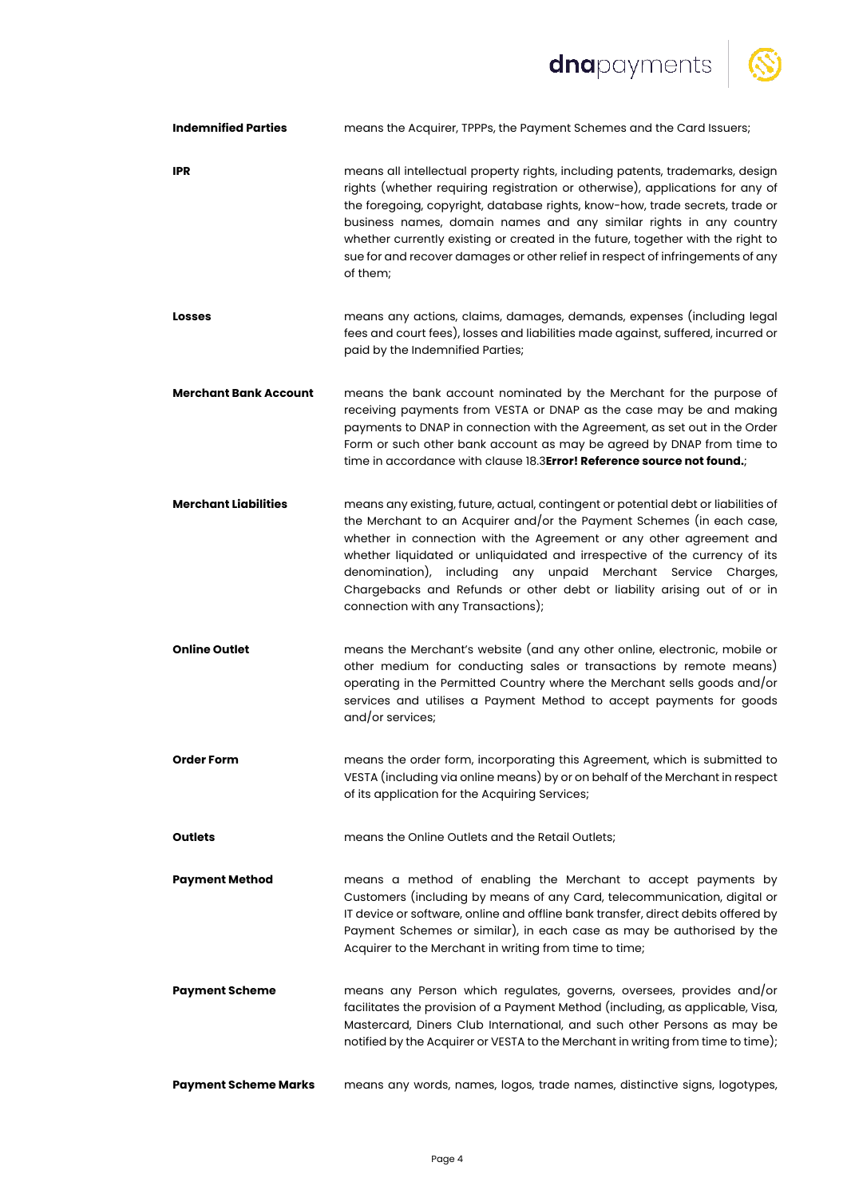dnapayments | S



| <b>Indemnified Parties</b>   | means the Acquirer, TPPPs, the Payment Schemes and the Card Issuers;                                                                                                                                                                                                                                                                                                                                                                                                                                  |
|------------------------------|-------------------------------------------------------------------------------------------------------------------------------------------------------------------------------------------------------------------------------------------------------------------------------------------------------------------------------------------------------------------------------------------------------------------------------------------------------------------------------------------------------|
| <b>IPR</b>                   | means all intellectual property rights, including patents, trademarks, design<br>rights (whether requiring registration or otherwise), applications for any of<br>the foregoing, copyright, database rights, know-how, trade secrets, trade or<br>business names, domain names and any similar rights in any country<br>whether currently existing or created in the future, together with the right to<br>sue for and recover damages or other relief in respect of infringements of any<br>of them; |
| <b>Losses</b>                | means any actions, claims, damages, demands, expenses (including legal<br>fees and court fees), losses and liabilities made against, suffered, incurred or<br>paid by the Indemnified Parties;                                                                                                                                                                                                                                                                                                        |
| <b>Merchant Bank Account</b> | means the bank account nominated by the Merchant for the purpose of<br>receiving payments from VESTA or DNAP as the case may be and making<br>payments to DNAP in connection with the Agreement, as set out in the Order<br>Form or such other bank account as may be agreed by DNAP from time to<br>time in accordance with clause 18.3Error! Reference source not found.;                                                                                                                           |
| <b>Merchant Liabilities</b>  | means any existing, future, actual, contingent or potential debt or liabilities of<br>the Merchant to an Acquirer and/or the Payment Schemes (in each case,<br>whether in connection with the Agreement or any other agreement and<br>whether liquidated or unliquidated and irrespective of the currency of its<br>denomination), including any unpaid Merchant Service Charges,<br>Chargebacks and Refunds or other debt or liability arising out of or in<br>connection with any Transactions);    |
| <b>Online Outlet</b>         | means the Merchant's website (and any other online, electronic, mobile or<br>other medium for conducting sales or transactions by remote means)<br>operating in the Permitted Country where the Merchant sells goods and/or<br>services and utilises a Payment Method to accept payments for goods<br>and/or services;                                                                                                                                                                                |
| <b>Order Form</b>            | means the order form, incorporating this Agreement, which is submitted to<br>VESTA (including via online means) by or on behalf of the Merchant in respect<br>of its application for the Acquiring Services;                                                                                                                                                                                                                                                                                          |
| <b>Outlets</b>               | means the Online Outlets and the Retail Outlets;                                                                                                                                                                                                                                                                                                                                                                                                                                                      |
| <b>Payment Method</b>        | means a method of enabling the Merchant to accept payments by<br>Customers (including by means of any Card, telecommunication, digital or<br>IT device or software, online and offline bank transfer, direct debits offered by<br>Payment Schemes or similar), in each case as may be authorised by the<br>Acquirer to the Merchant in writing from time to time;                                                                                                                                     |
| <b>Payment Scheme</b>        | means any Person which regulates, governs, oversees, provides and/or<br>facilitates the provision of a Payment Method (including, as applicable, Visa,<br>Mastercard, Diners Club International, and such other Persons as may be<br>notified by the Acquirer or VESTA to the Merchant in writing from time to time);                                                                                                                                                                                 |
| <b>Payment Scheme Marks</b>  | means any words, names, logos, trade names, distinctive signs, logotypes,                                                                                                                                                                                                                                                                                                                                                                                                                             |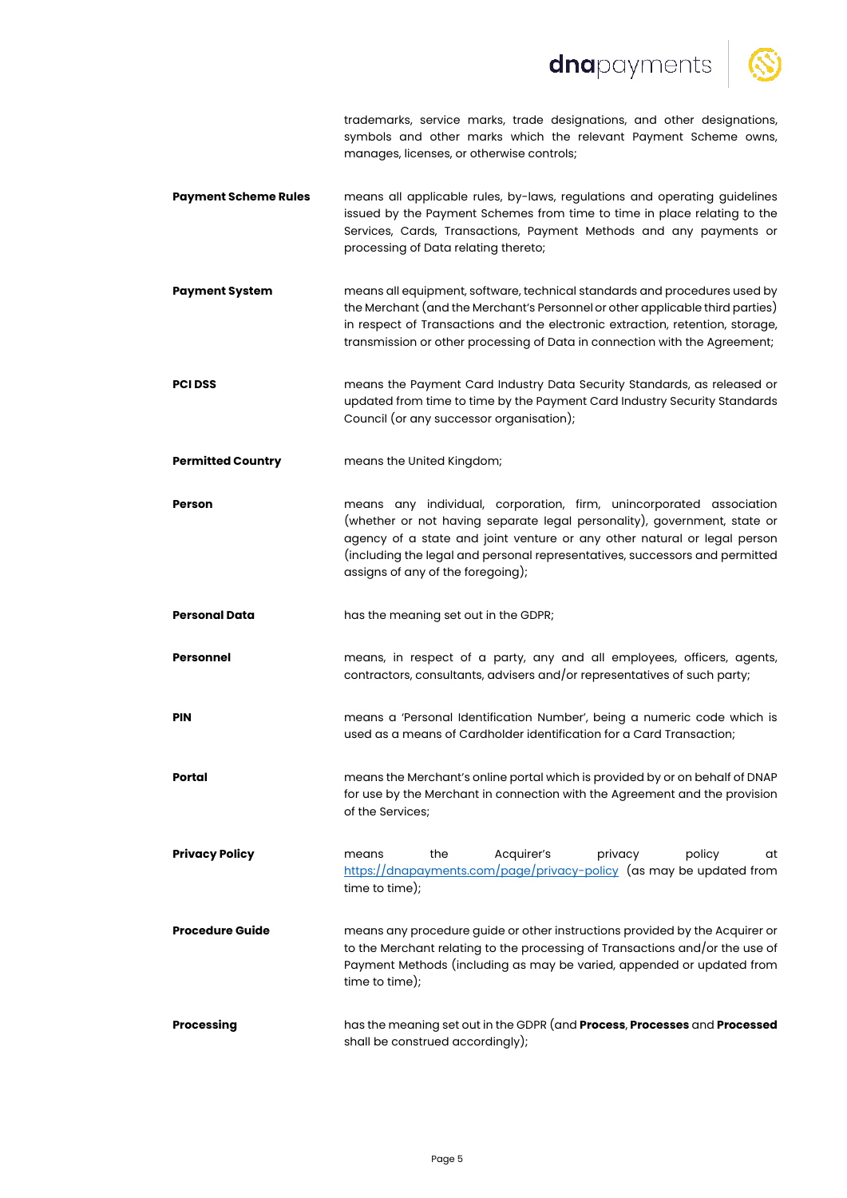# dnapayments



trademarks, service marks, trade designations, and other designations, symbols and other marks which the relevant Payment Scheme owns, manages, licenses, or otherwise controls;

- **Payment Scheme Rules** means all applicable rules, by-laws, regulations and operating guidelines issued by the Payment Schemes from time to time in place relating to the Services, Cards, Transactions, Payment Methods and any payments or processing of Data relating thereto;
- **Payment System** means all equipment, software, technical standards and procedures used by the Merchant (and the Merchant's Personnel or other applicable third parties) in respect of Transactions and the electronic extraction, retention, storage, transmission or other processing of Data in connection with the Agreement;
- **PCI DSS** means the Payment Card Industry Data Security Standards, as released or updated from time to time by the Payment Card Industry Security Standards Council (or any successor organisation);
- **Permitted Country** means the United Kingdom;
- **Person** means any individual, corporation, firm, unincorporated association (whether or not having separate legal personality), government, state or agency of a state and joint venture or any other natural or legal person (including the legal and personal representatives, successors and permitted assigns of any of the foregoing);
- **Personal Data** has the meaning set out in the GDPR;
- **Personnel** means, in respect of a party, any and all employees, officers, agents, contractors, consultants, advisers and/or representatives of such party;
- **PIN PIN means a 'Personal Identification Number'**, being a numeric code which is used as a means of Cardholder identification for a Card Transaction;
- **Portal** means the Merchant's online portal which is provided by or on behalf of DNAP for use by the Merchant in connection with the Agreement and the provision of the Services;
- **Privacy Policy means** the Acquirer's privacy policy at https://dnapayments.com/page/privacy-policy (as may be updated from time to time);
- **Procedure Guide** means any procedure quide or other instructions provided by the Acquirer or to the Merchant relating to the processing of Transactions and/or the use of Payment Methods (including as may be varied, appended or updated from time to time);
- **Processing** has the meaning set out in the GDPR (and **Process**, **Processes** and **Processed** shall be construed accordingly);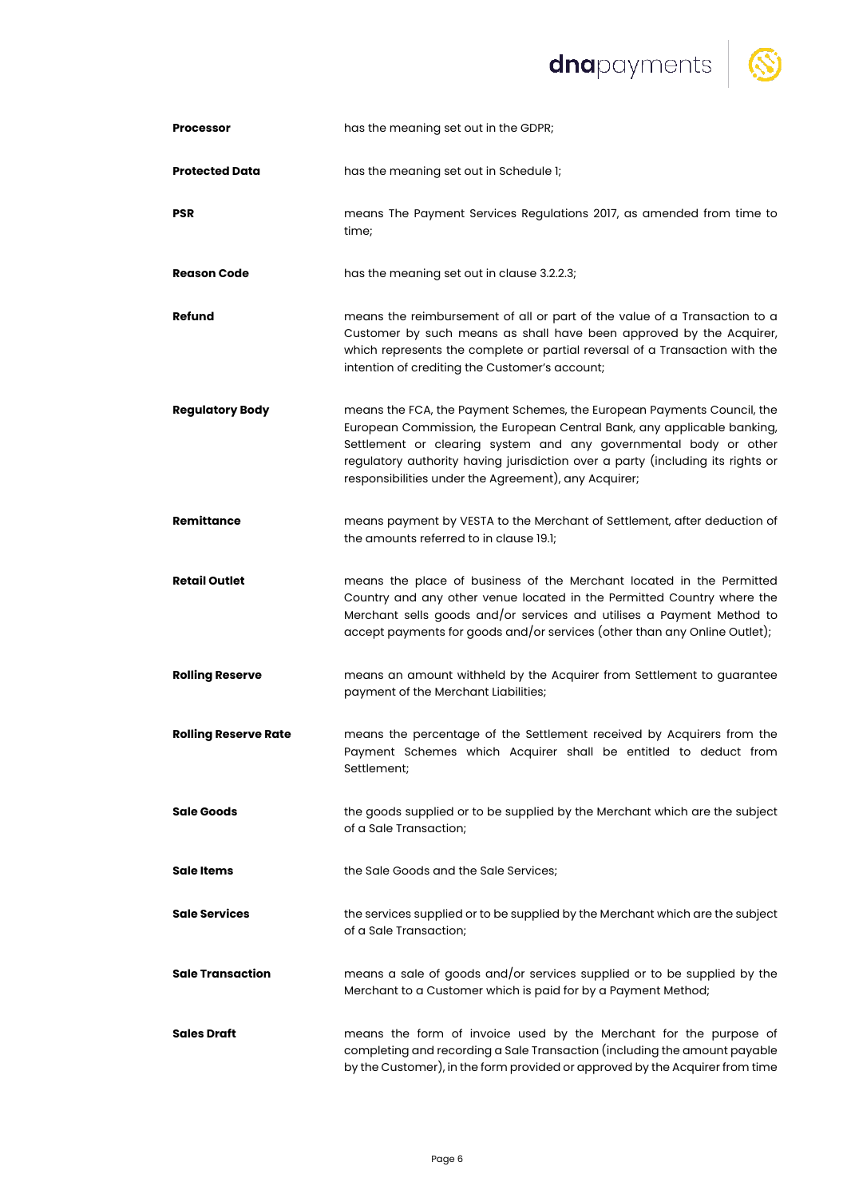# dnapayments | S



| <b>Processor</b>            | has the meaning set out in the GDPR;                                                                                                                                                                                                                                                                                                                            |
|-----------------------------|-----------------------------------------------------------------------------------------------------------------------------------------------------------------------------------------------------------------------------------------------------------------------------------------------------------------------------------------------------------------|
| <b>Protected Data</b>       | has the meaning set out in Schedule 1;                                                                                                                                                                                                                                                                                                                          |
| PSR                         | means The Payment Services Regulations 2017, as amended from time to<br>time;                                                                                                                                                                                                                                                                                   |
| <b>Reason Code</b>          | has the meaning set out in clause 3.2.2.3;                                                                                                                                                                                                                                                                                                                      |
| Refund                      | means the reimbursement of all or part of the value of a Transaction to a<br>Customer by such means as shall have been approved by the Acquirer,<br>which represents the complete or partial reversal of a Transaction with the<br>intention of crediting the Customer's account;                                                                               |
| <b>Regulatory Body</b>      | means the FCA, the Payment Schemes, the European Payments Council, the<br>European Commission, the European Central Bank, any applicable banking,<br>Settlement or clearing system and any governmental body or other<br>regulatory authority having jurisdiction over a party (including its rights or<br>responsibilities under the Agreement), any Acquirer; |
| <b>Remittance</b>           | means payment by VESTA to the Merchant of Settlement, after deduction of<br>the amounts referred to in clause 19.1;                                                                                                                                                                                                                                             |
| <b>Retail Outlet</b>        | means the place of business of the Merchant located in the Permitted<br>Country and any other venue located in the Permitted Country where the<br>Merchant sells goods and/or services and utilises a Payment Method to<br>accept payments for goods and/or services (other than any Online Outlet);                                                            |
| <b>Rolling Reserve</b>      | means an amount withheld by the Acquirer from Settlement to guarantee<br>payment of the Merchant Liabilities;                                                                                                                                                                                                                                                   |
| <b>Rolling Reserve Rate</b> | means the percentage of the Settlement received by Acquirers from the<br>Payment Schemes which Acquirer shall be entitled to deduct from<br>Settlement;                                                                                                                                                                                                         |
| <b>Sale Goods</b>           | the goods supplied or to be supplied by the Merchant which are the subject<br>of a Sale Transaction;                                                                                                                                                                                                                                                            |
| <b>Sale Items</b>           | the Sale Goods and the Sale Services;                                                                                                                                                                                                                                                                                                                           |
| <b>Sale Services</b>        | the services supplied or to be supplied by the Merchant which are the subject<br>of a Sale Transaction;                                                                                                                                                                                                                                                         |
| <b>Sale Transaction</b>     | means a sale of goods and/or services supplied or to be supplied by the<br>Merchant to a Customer which is paid for by a Payment Method;                                                                                                                                                                                                                        |
| <b>Sales Draft</b>          | means the form of invoice used by the Merchant for the purpose of<br>completing and recording a Sale Transaction (including the amount payable<br>by the Customer), in the form provided or approved by the Acquirer from time                                                                                                                                  |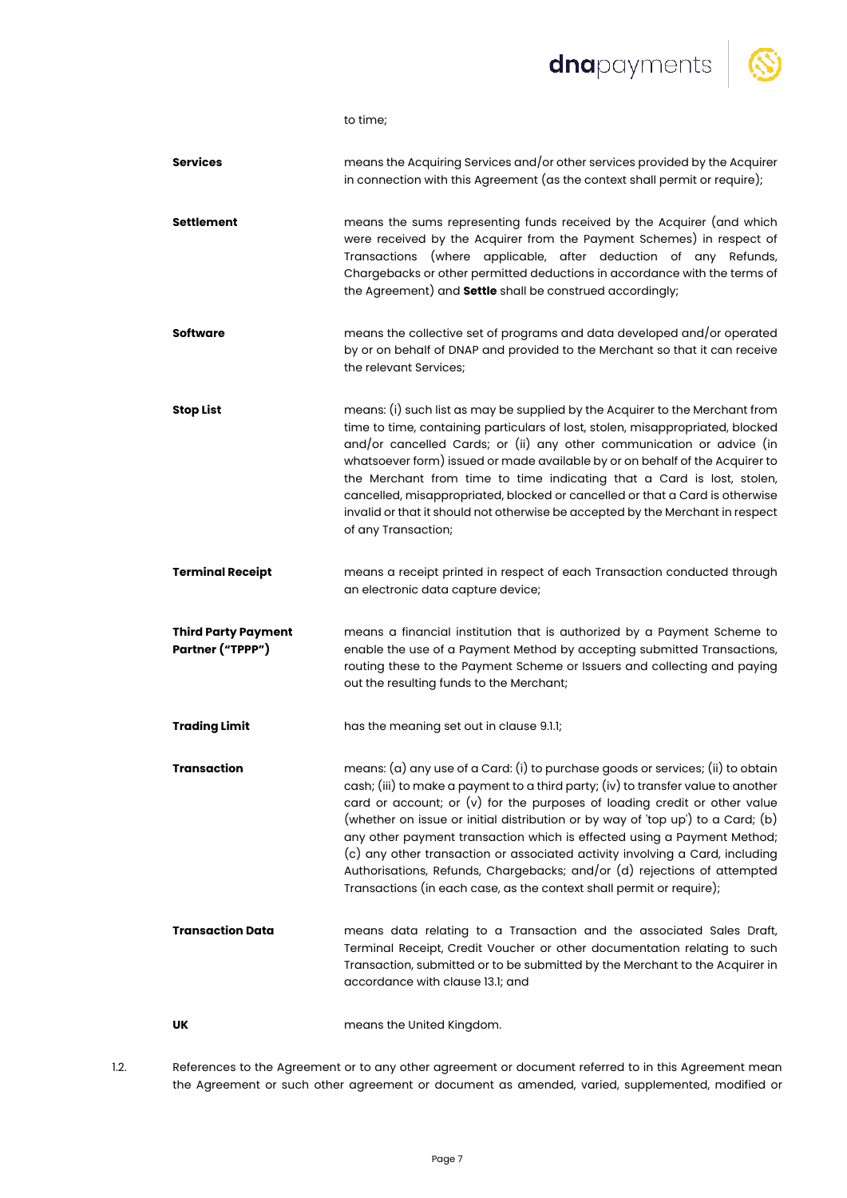dnapayments



to time;

- **Services** means the Acquiring Services and/or other services provided by the Acquirer in connection with this Agreement (as the context shall permit or require); **Settlement** means the sums representing funds received by the Acquirer (and which were received by the Acquirer from the Payment Schemes) in respect of Transactions (where applicable, after deduction of any Refunds, Chargebacks or other permitted deductions in accordance with the terms of the Agreement) and **Settle** shall be construed accordingly; **Software means the collective set of programs and data developed and/or operated** by or on behalf of DNAP and provided to the Merchant so that it can receive the relevant Services; **Stop List** means: (i) such list as may be supplied by the Acquirer to the Merchant from time to time, containing particulars of lost, stolen, misappropriated, blocked and/or cancelled Cards; or (ii) any other communication or advice (in whatsoever form) issued or made available by or on behalf of the Acquirer to the Merchant from time to time indicating that a Card is lost, stolen, cancelled, misappropriated, blocked or cancelled or that a Card is otherwise invalid or that it should not otherwise be accepted by the Merchant in respect of any Transaction; **Terminal Receipt** means a receipt printed in respect of each Transaction conducted through an electronic data capture device; **Third Party Payment Partner ("TPPP")** means a financial institution that is authorized by a Payment Scheme to enable the use of a Payment Method by accepting submitted Transactions, routing these to the Payment Scheme or Issuers and collecting and paying out the resulting funds to the Merchant; **Trading Limit** has the meaning set out in clause 9.1.1; **Transaction** means: (a) any use of a Card: (i) to purchase goods or services; (ii) to obtain cash; (iii) to make a payment to a third party; (iv) to transfer value to another card or account; or (v) for the purposes of loading credit or other value (whether on issue or initial distribution or by way of 'top up') to a Card; (b) any other payment transaction which is effected using a Payment Method; (c) any other transaction or associated activity involving a Card, including Authorisations, Refunds, Chargebacks; and/or (d) rejections of attempted Transactions (in each case, as the context shall permit or require); **Transaction Data** means data relating to a Transaction and the associated Sales Draft, Terminal Receipt, Credit Voucher or other documentation relating to such Transaction, submitted or to be submitted by the Merchant to the Acquirer in accordance with clause 13.1; and **UK** means the United Kingdom.
- 

1.2. References to the Agreement or to any other agreement or document referred to in this Agreement mean the Agreement or such other agreement or document as amended, varied, supplemented, modified or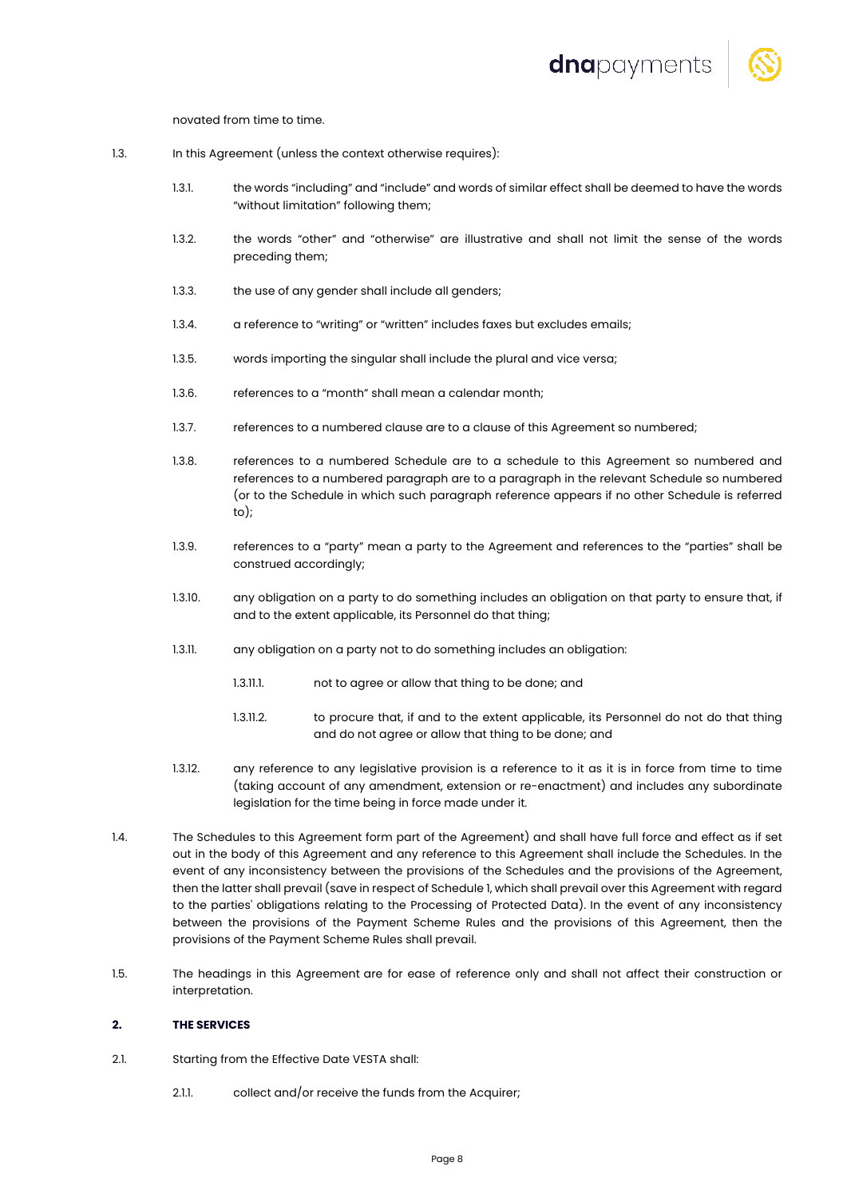

novated from time to time.

- 1.3. In this Agreement (unless the context otherwise requires):
	- 1.3.1. the words "including" and "include" and words of similar effect shall be deemed to have the words "without limitation" following them;
	- 1.3.2. the words "other" and "otherwise" are illustrative and shall not limit the sense of the words preceding them;
	- 1.3.3. the use of any gender shall include all genders:
	- 1.3.4. a reference to "writing" or "written" includes faxes but excludes emails;
	- 1.3.5. words importing the singular shall include the plural and vice versa;
	- 1.3.6. references to a "month" shall mean a calendar month;
	- 1.3.7. references to a numbered clause are to a clause of this Agreement so numbered;
	- 1.3.8. references to a numbered Schedule are to a schedule to this Agreement so numbered and references to a numbered paragraph are to a paragraph in the relevant Schedule so numbered (or to the Schedule in which such paragraph reference appears if no other Schedule is referred  $t \cap$ ).
	- 1.3.9. references to a "party" mean a party to the Agreement and references to the "parties" shall be construed accordingly;
	- 1.3.10. any obligation on a party to do something includes an obligation on that party to ensure that, if and to the extent applicable, its Personnel do that thing;
	- 1.3.11. any obligation on a party not to do something includes an obligation:
		- 1.3.11.1. not to agree or allow that thing to be done; and
		- 1.3.11.2. to procure that, if and to the extent applicable, its Personnel do not do that thing and do not agree or allow that thing to be done; and
	- 1.3.12. any reference to any legislative provision is a reference to it as it is in force from time to time (taking account of any amendment, extension or re-enactment) and includes any subordinate legislation for the time being in force made under it.
- 1.4. The Schedules to this Agreement form part of the Agreement) and shall have full force and effect as if set out in the body of this Agreement and any reference to this Agreement shall include the Schedules. In the event of any inconsistency between the provisions of the Schedules and the provisions of the Agreement, then the latter shall prevail (save in respect of Schedule 1, which shall prevail over this Agreement with regard to the parties' obligations relating to the Processing of Protected Data). In the event of any inconsistency between the provisions of the Payment Scheme Rules and the provisions of this Agreement, then the provisions of the Payment Scheme Rules shall prevail.
- 1.5. The headings in this Agreement are for ease of reference only and shall not affect their construction or interpretation.

# **2. THE SERVICES**

- 2.1. Starting from the Effective Date VESTA shall:
	- 2.1.1. collect and/or receive the funds from the Acquirer;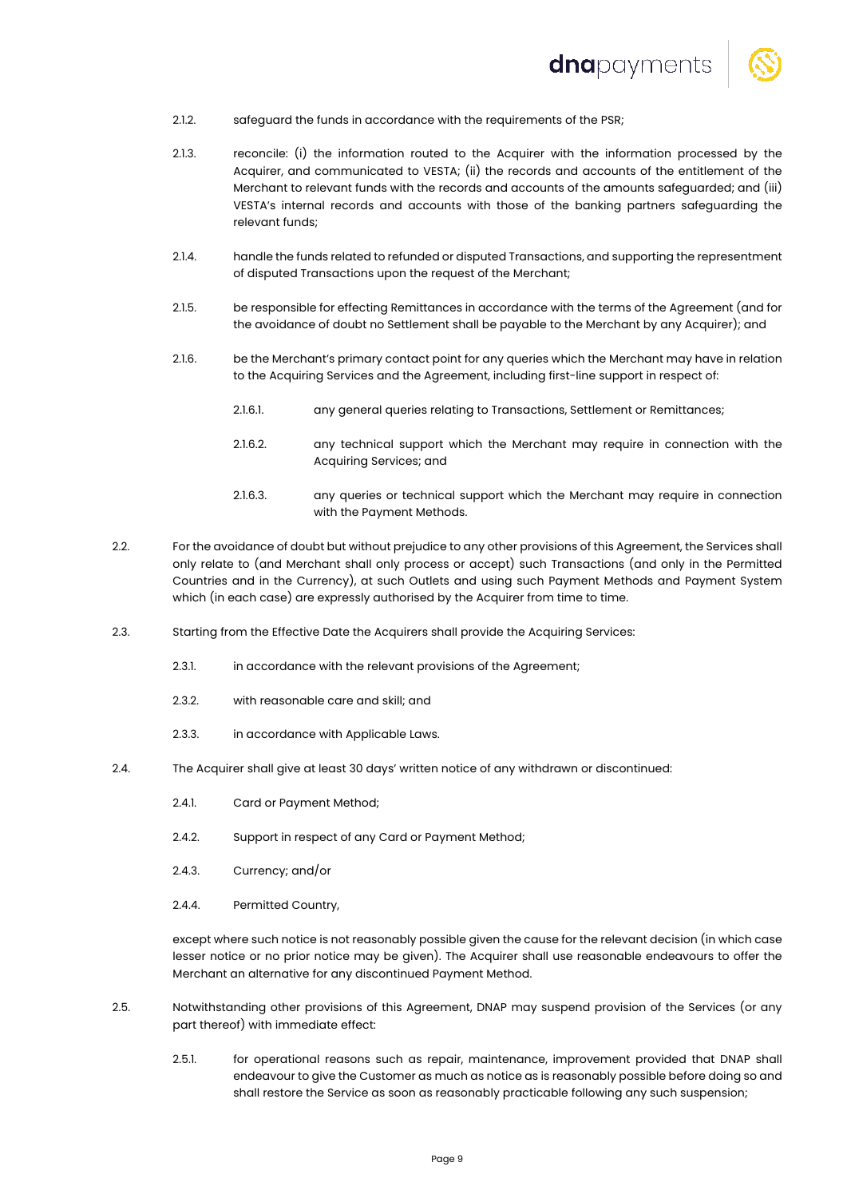

- 2.1.2. safeguard the funds in accordance with the requirements of the PSR;
- 2.1.3. reconcile: (i) the information routed to the Acquirer with the information processed by the Acquirer, and communicated to VESTA; (ii) the records and accounts of the entitlement of the Merchant to relevant funds with the records and accounts of the amounts safeguarded; and (iii) VESTA's internal records and accounts with those of the banking partners safeguarding the relevant funds;
- 2.1.4. handle the funds related to refunded or disputed Transactions, and supporting the representment of disputed Transactions upon the request of the Merchant;
- 2.1.5. be responsible for effecting Remittances in accordance with the terms of the Agreement (and for the avoidance of doubt no Settlement shall be payable to the Merchant by any Acquirer); and
- 2.1.6. be the Merchant's primary contact point for any queries which the Merchant may have in relation to the Acquiring Services and the Agreement, including first-line support in respect of:
	- 2.1.6.1. any general queries relating to Transactions, Settlement or Remittances;
	- 2.1.6.2. any technical support which the Merchant may require in connection with the Acquiring Services; and
	- 2.1.6.3. any queries or technical support which the Merchant may require in connection with the Payment Methods.
- 2.2. For the avoidance of doubt but without prejudice to any other provisions of this Agreement, the Services shall only relate to (and Merchant shall only process or accept) such Transactions (and only in the Permitted Countries and in the Currency), at such Outlets and using such Payment Methods and Payment System which (in each case) are expressly authorised by the Acquirer from time to time.
- 2.3. Starting from the Effective Date the Acquirers shall provide the Acquiring Services:
	- 2.3.1. in accordance with the relevant provisions of the Agreement:
	- 2.3.2. with reasonable care and skill; and
	- 2.3.3. in accordance with Applicable Laws.
- 2.4. The Acquirer shall give at least 30 days' written notice of any withdrawn or discontinued:
	- 2.4.1. Card or Payment Method;
	- 2.4.2. Support in respect of any Card or Payment Method;
	- 2.4.3. Currency; and/or
	- 2.4.4. Permitted Country,

except where such notice is not reasonably possible given the cause for the relevant decision (in which case lesser notice or no prior notice may be given). The Acquirer shall use reasonable endeavours to offer the Merchant an alternative for any discontinued Payment Method.

- 2.5. Notwithstanding other provisions of this Agreement, DNAP may suspend provision of the Services (or any part thereof) with immediate effect:
	- 2.5.1. for operational reasons such as repair, maintenance, improvement provided that DNAP shall endeavour to give the Customer as much as notice as is reasonably possible before doing so and shall restore the Service as soon as reasonably practicable following any such suspension;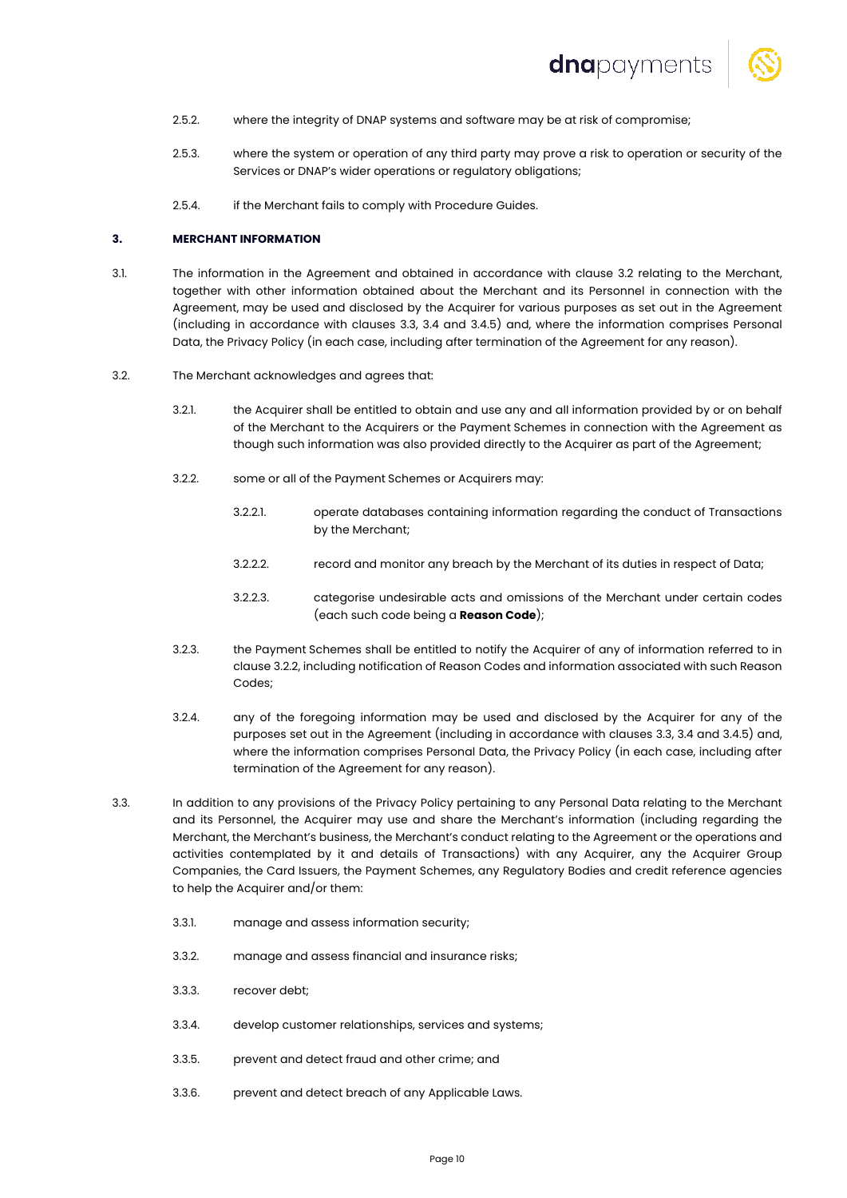

- 2.5.2. where the integrity of DNAP systems and software may be at risk of compromise;
- 2.5.3. where the system or operation of any third party may prove a risk to operation or security of the Services or DNAP's wider operations or regulatory obligations;
- 2.5.4. if the Merchant fails to comply with Procedure Guides.

#### **3. MERCHANT INFORMATION**

- 3.1. The information in the Agreement and obtained in accordance with clause 3.2 relating to the Merchant, together with other information obtained about the Merchant and its Personnel in connection with the Agreement, may be used and disclosed by the Acquirer for various purposes as set out in the Agreement (including in accordance with clauses 3.3, 3.4 and 3.4.5) and, where the information comprises Personal Data, the Privacy Policy (in each case, including after termination of the Agreement for any reason).
- 3.2. The Merchant acknowledges and agrees that:
	- 3.2.1. the Acquirer shall be entitled to obtain and use any and all information provided by or on behalf of the Merchant to the Acquirers or the Payment Schemes in connection with the Agreement as though such information was also provided directly to the Acquirer as part of the Agreement;
	- 3.2.2. some or all of the Payment Schemes or Acquirers may:
		- 3.2.2.1. operate databases containing information regarding the conduct of Transactions by the Merchant;
		- 3.2.2.2. record and monitor any breach by the Merchant of its duties in respect of Data;
		- 3.2.2.3. categorise undesirable acts and omissions of the Merchant under certain codes (each such code being a **Reason Code**);
	- 3.2.3. the Payment Schemes shall be entitled to notify the Acquirer of any of information referred to in clause 3.2.2, including notification of Reason Codes and information associated with such Reason Codes;
	- 3.2.4. any of the foregoing information may be used and disclosed by the Acquirer for any of the purposes set out in the Agreement (including in accordance with clauses 3.3, 3.4 and 3.4.5) and, where the information comprises Personal Data, the Privacy Policy (in each case, including after termination of the Agreement for any reason).
- 3.3. In addition to any provisions of the Privacy Policy pertaining to any Personal Data relating to the Merchant and its Personnel, the Acquirer may use and share the Merchant's information (including regarding the Merchant, the Merchant's business, the Merchant's conduct relating to the Agreement or the operations and activities contemplated by it and details of Transactions) with any Acquirer, any the Acquirer Group Companies, the Card Issuers, the Payment Schemes, any Regulatory Bodies and credit reference agencies to help the Acquirer and/or them:
	- 3.3.1. manage and assess information security;
	- 3.3.2. manage and assess financial and insurance risks;
	- 3.3.3. recover debt;
	- 3.3.4. develop customer relationships, services and systems;
	- 3.3.5. prevent and detect fraud and other crime; and
	- 3.3.6. prevent and detect breach of any Applicable Laws.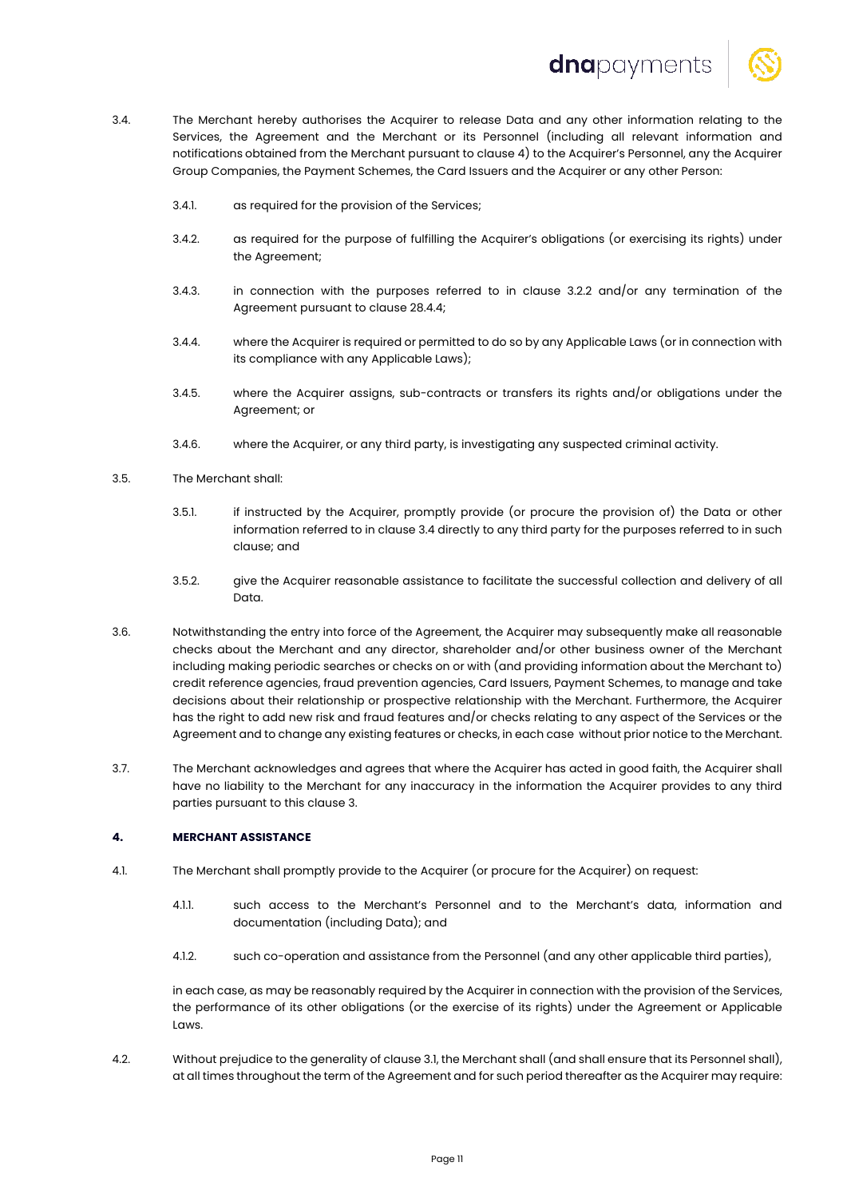



- 3.4. The Merchant hereby authorises the Acquirer to release Data and any other information relating to the Services, the Agreement and the Merchant or its Personnel (including all relevant information and notifications obtained from the Merchant pursuant to clause 4) to the Acquirer's Personnel, any the Acquirer Group Companies, the Payment Schemes, the Card Issuers and the Acquirer or any other Person:
	- 3.4.1. as required for the provision of the Services;
	- 3.4.2. as required for the purpose of fulfilling the Acquirer's obligations (or exercising its rights) under the Agreement;
	- 3.4.3. in connection with the purposes referred to in clause 3.2.2 and/or any termination of the Agreement pursuant to clause 28.4.4;
	- 3.4.4. where the Acquirer is required or permitted to do so by any Applicable Laws (or in connection with its compliance with any Applicable Laws);
	- 3.4.5. where the Acquirer assigns, sub-contracts or transfers its rights and/or obligations under the Agreement; or
	- 3.4.6. where the Acquirer, or any third party, is investigating any suspected criminal activity.
- 3.5. The Merchant shall:
	- 3.5.1. if instructed by the Acquirer, promptly provide (or procure the provision of) the Data or other information referred to in clause 3.4 directly to any third party for the purposes referred to in such clause; and
	- 3.5.2. give the Acquirer reasonable assistance to facilitate the successful collection and delivery of all Data.
- 3.6. Notwithstanding the entry into force of the Agreement, the Acquirer may subsequently make all reasonable checks about the Merchant and any director, shareholder and/or other business owner of the Merchant including making periodic searches or checks on or with (and providing information about the Merchant to) credit reference agencies, fraud prevention agencies, Card Issuers, Payment Schemes, to manage and take decisions about their relationship or prospective relationship with the Merchant. Furthermore, the Acquirer has the right to add new risk and fraud features and/or checks relating to any aspect of the Services or the Agreement and to change any existing features or checks, in each case without prior notice to the Merchant.
- 3.7. The Merchant acknowledges and agrees that where the Acquirer has acted in good faith, the Acquirer shall have no liability to the Merchant for any inaccuracy in the information the Acquirer provides to any third parties pursuant to this clause 3.

# **4. MERCHANT ASSISTANCE**

- 4.1. The Merchant shall promptly provide to the Acquirer (or procure for the Acquirer) on request:
	- 4.1.1. such access to the Merchant's Personnel and to the Merchant's data, information and documentation (including Data); and
	- 4.1.2. such co-operation and assistance from the Personnel (and any other applicable third parties),

in each case, as may be reasonably required by the Acquirer in connection with the provision of the Services, the performance of its other obligations (or the exercise of its rights) under the Agreement or Applicable Laws.

4.2. Without prejudice to the generality of clause 3.1, the Merchant shall (and shall ensure that its Personnel shall), at all times throughout the term of the Agreement and for such period thereafter as the Acquirer may require: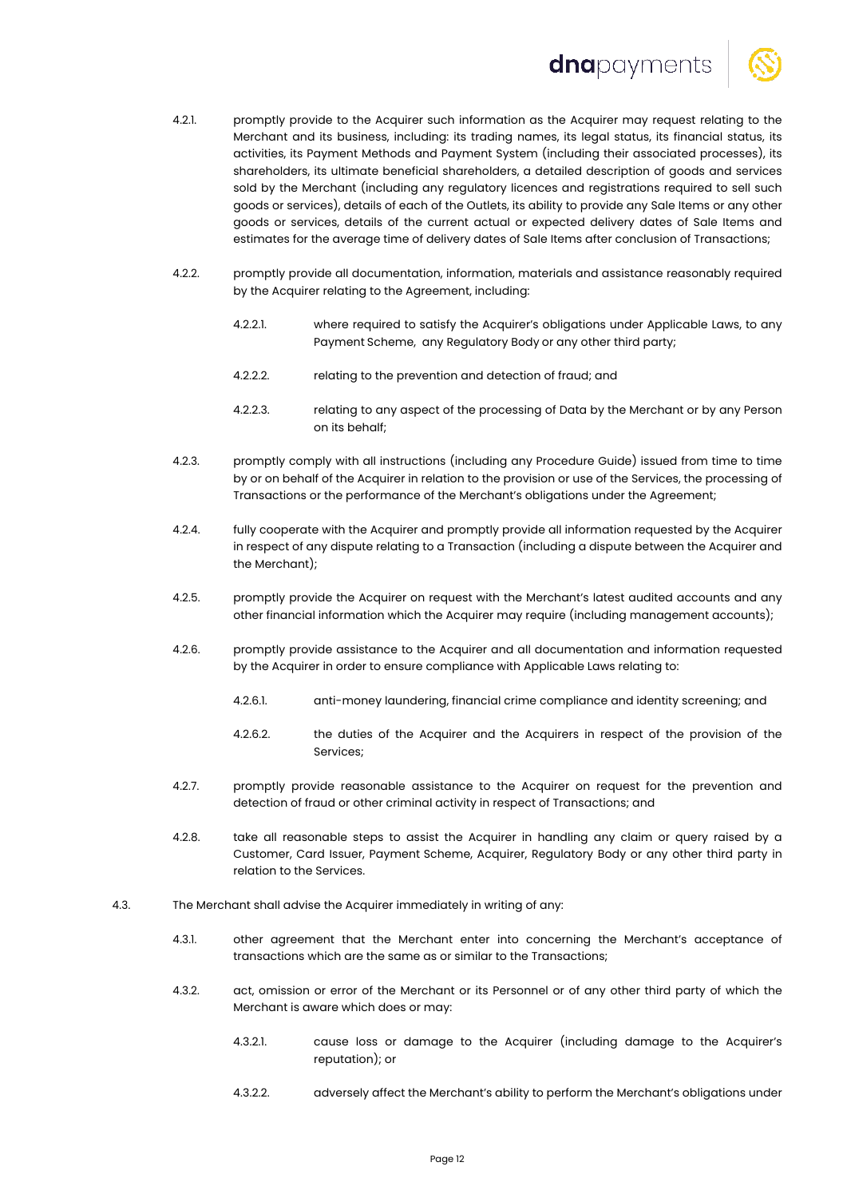# dnapayments



- 4.2.1. promptly provide to the Acquirer such information as the Acquirer may request relating to the Merchant and its business, including: its trading names, its legal status, its financial status, its activities, its Payment Methods and Payment System (including their associated processes), its shareholders, its ultimate beneficial shareholders, a detailed description of goods and services sold by the Merchant (including any regulatory licences and registrations required to sell such goods or services), details of each of the Outlets, its ability to provide any Sale Items or any other goods or services, details of the current actual or expected delivery dates of Sale Items and estimates for the average time of delivery dates of Sale Items after conclusion of Transactions;
- 4.2.2. promptly provide all documentation, information, materials and assistance reasonably required by the Acquirer relating to the Agreement, including:
	- 4.2.2.1. where required to satisfy the Acquirer's obligations under Applicable Laws, to any Payment Scheme, any Regulatory Body or any other third party;
	- 4.2.2.2. relating to the prevention and detection of fraud; and
	- 4.2.2.3. relating to any aspect of the processing of Data by the Merchant or by any Person on its behalf;
- 4.2.3. promptly comply with all instructions (including any Procedure Guide) issued from time to time by or on behalf of the Acquirer in relation to the provision or use of the Services, the processing of Transactions or the performance of the Merchant's obligations under the Agreement;
- 4.2.4. fully cooperate with the Acquirer and promptly provide all information requested by the Acquirer in respect of any dispute relating to a Transaction (including a dispute between the Acquirer and the Merchant);
- 4.2.5. promptly provide the Acquirer on request with the Merchant's latest audited accounts and any other financial information which the Acquirer may require (including management accounts);
- 4.2.6. promptly provide assistance to the Acquirer and all documentation and information requested by the Acquirer in order to ensure compliance with Applicable Laws relating to:
	- 4.2.6.1. anti-money laundering, financial crime compliance and identity screening; and
	- 4.2.6.2. the duties of the Acquirer and the Acquirers in respect of the provision of the Services;
- 4.2.7. promptly provide reasonable assistance to the Acquirer on request for the prevention and detection of fraud or other criminal activity in respect of Transactions; and
- 4.2.8. take all reasonable steps to assist the Acquirer in handling any claim or query raised by a Customer, Card Issuer, Payment Scheme, Acquirer, Regulatory Body or any other third party in relation to the Services.
- 4.3. The Merchant shall advise the Acquirer immediately in writing of any:
	- 4.3.1. other agreement that the Merchant enter into concerning the Merchant's acceptance of transactions which are the same as or similar to the Transactions;
	- 4.3.2. act, omission or error of the Merchant or its Personnel or of any other third party of which the Merchant is aware which does or may:
		- 4.3.2.1. cause loss or damage to the Acquirer (including damage to the Acquirer's reputation); or
		- 4.3.2.2. adversely affect the Merchant's ability to perform the Merchant's obligations under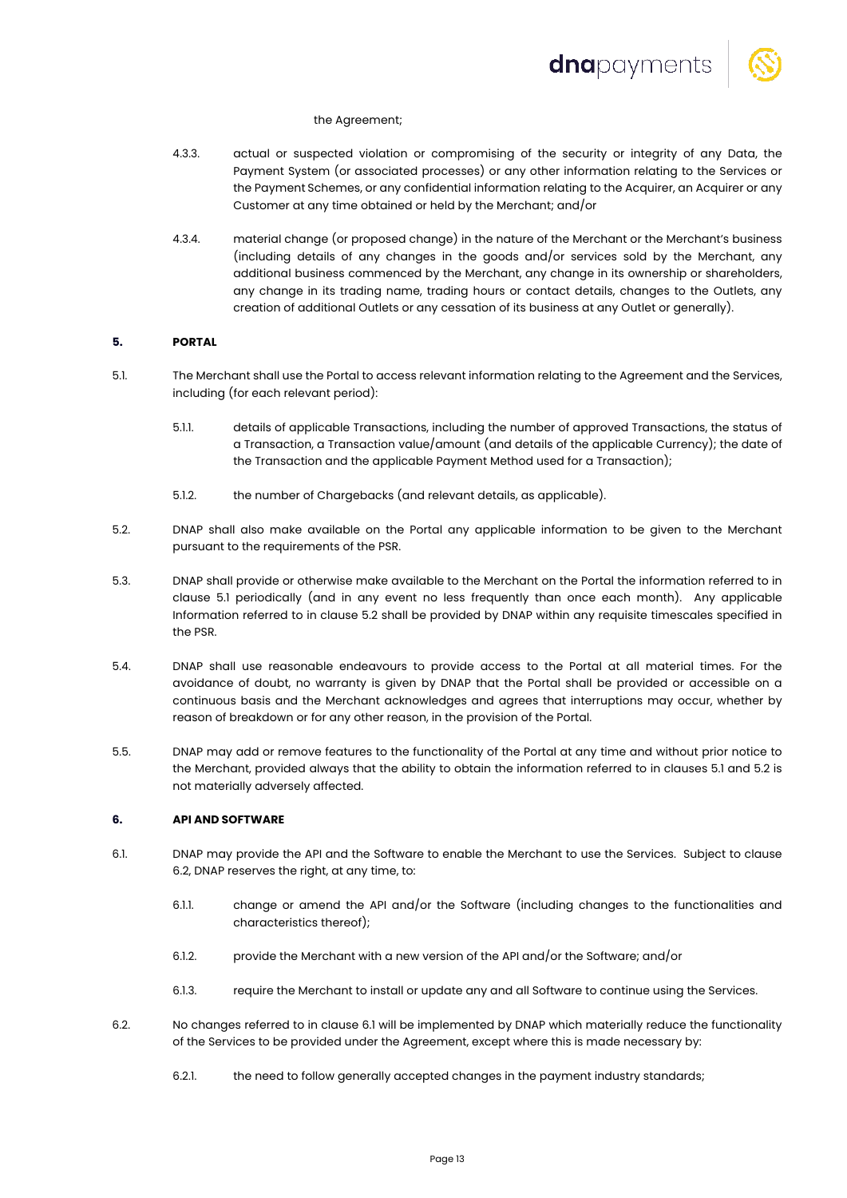

## the Agreement;

- 4.3.3. actual or suspected violation or compromising of the security or integrity of any Data, the Payment System (or associated processes) or any other information relating to the Services or the Payment Schemes, or any confidential information relating to the Acquirer, an Acquirer or any Customer at any time obtained or held by the Merchant; and/or
- 4.3.4. material change (or proposed change) in the nature of the Merchant or the Merchant's business (including details of any changes in the goods and/or services sold by the Merchant, any additional business commenced by the Merchant, any change in its ownership or shareholders, any change in its trading name, trading hours or contact details, changes to the Outlets, any creation of additional Outlets or any cessation of its business at any Outlet or generally).

# **5. PORTAL**

- 5.1. The Merchant shall use the Portal to access relevant information relating to the Agreement and the Services, including (for each relevant period):
	- 5.1.1. details of applicable Transactions, including the number of approved Transactions, the status of a Transaction, a Transaction value/amount (and details of the applicable Currency); the date of the Transaction and the applicable Payment Method used for a Transaction);
	- 5.1.2. the number of Chargebacks (and relevant details, as applicable).
- 5.2. DNAP shall also make available on the Portal any applicable information to be given to the Merchant pursuant to the requirements of the PSR.
- 5.3. DNAP shall provide or otherwise make available to the Merchant on the Portal the information referred to in clause 5.1 periodically (and in any event no less frequently than once each month). Any applicable Information referred to in clause 5.2 shall be provided by DNAP within any requisite timescales specified in the PSR.
- 5.4. DNAP shall use reasonable endeavours to provide access to the Portal at all material times. For the avoidance of doubt, no warranty is given by DNAP that the Portal shall be provided or accessible on a continuous basis and the Merchant acknowledges and agrees that interruptions may occur, whether by reason of breakdown or for any other reason, in the provision of the Portal.
- 5.5. DNAP may add or remove features to the functionality of the Portal at any time and without prior notice to the Merchant, provided always that the ability to obtain the information referred to in clauses 5.1 and 5.2 is not materially adversely affected.

# **6. API AND SOFTWARE**

- 6.1. DNAP may provide the API and the Software to enable the Merchant to use the Services. Subject to clause 6.2, DNAP reserves the right, at any time, to:
	- 6.1.1. change or amend the API and/or the Software (including changes to the functionalities and characteristics thereof);
	- 6.1.2. provide the Merchant with a new version of the API and/or the Software; and/or
	- 6.1.3. require the Merchant to install or update any and all Software to continue using the Services.
- 6.2. No changes referred to in clause 6.1 will be implemented by DNAP which materially reduce the functionality of the Services to be provided under the Agreement, except where this is made necessary by:
	- 6.2.1. the need to follow generally accepted changes in the payment industry standards;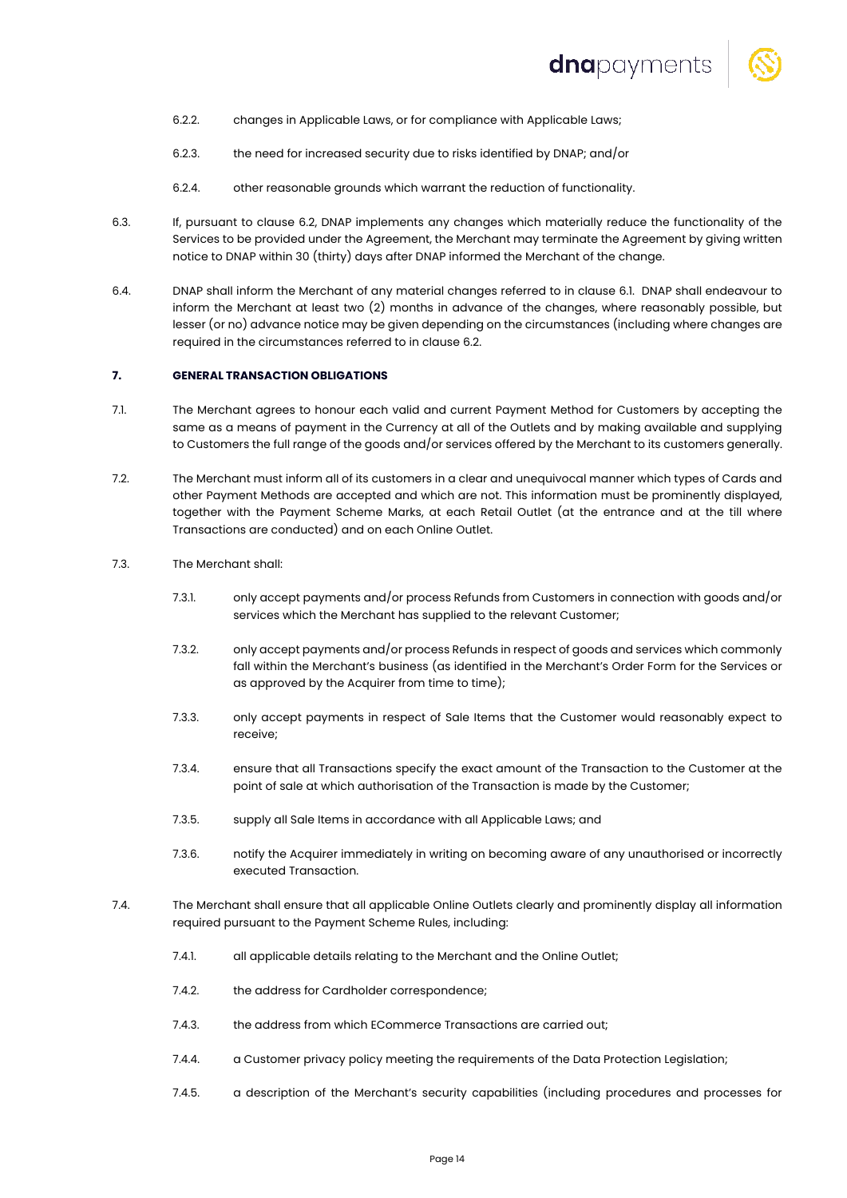

- 6.2.2. changes in Applicable Laws, or for compliance with Applicable Laws;
- 6.2.3. the need for increased security due to risks identified by DNAP; and/or
- 6.2.4. other reasonable grounds which warrant the reduction of functionality.
- 6.3. If, pursuant to clause 6.2, DNAP implements any changes which materially reduce the functionality of the Services to be provided under the Agreement, the Merchant may terminate the Agreement by giving written notice to DNAP within 30 (thirty) days after DNAP informed the Merchant of the change.
- 6.4. DNAP shall inform the Merchant of any material changes referred to in clause 6.1. DNAP shall endeavour to inform the Merchant at least two (2) months in advance of the changes, where reasonably possible, but lesser (or no) advance notice may be given depending on the circumstances (including where changes are required in the circumstances referred to in clause 6.2.

# **7. GENERAL TRANSACTION OBLIGATIONS**

- 7.1. The Merchant agrees to honour each valid and current Payment Method for Customers by accepting the same as a means of payment in the Currency at all of the Outlets and by making available and supplying to Customers the full range of the goods and/or services offered by the Merchant to its customers generally.
- 7.2. The Merchant must inform all of its customers in a clear and unequivocal manner which types of Cards and other Payment Methods are accepted and which are not. This information must be prominently displayed, together with the Payment Scheme Marks, at each Retail Outlet (at the entrance and at the till where Transactions are conducted) and on each Online Outlet.
- 7.3. The Merchant shall:
	- 7.3.1. only accept payments and/or process Refunds from Customers in connection with goods and/or services which the Merchant has supplied to the relevant Customer;
	- 7.3.2. only accept payments and/or process Refunds in respect of goods and services which commonly fall within the Merchant's business (as identified in the Merchant's Order Form for the Services or as approved by the Acquirer from time to time);
	- 7.3.3. only accept payments in respect of Sale Items that the Customer would reasonably expect to receive;
	- 7.3.4. ensure that all Transactions specify the exact amount of the Transaction to the Customer at the point of sale at which authorisation of the Transaction is made by the Customer;
	- 7.3.5. supply all Sale Items in accordance with all Applicable Laws; and
	- 7.3.6. notify the Acquirer immediately in writing on becoming aware of any unauthorised or incorrectly executed Transaction.
- 7.4. The Merchant shall ensure that all applicable Online Outlets clearly and prominently display all information required pursuant to the Payment Scheme Rules, including:
	- 7.4.1. all applicable details relating to the Merchant and the Online Outlet;
	- 7.4.2. the address for Cardholder correspondence;
	- 7.4.3. the address from which ECommerce Transactions are carried out;
	- 7.4.4. a Customer privacy policy meeting the requirements of the Data Protection Legislation;
	- 7.4.5. a description of the Merchant's security capabilities (including procedures and processes for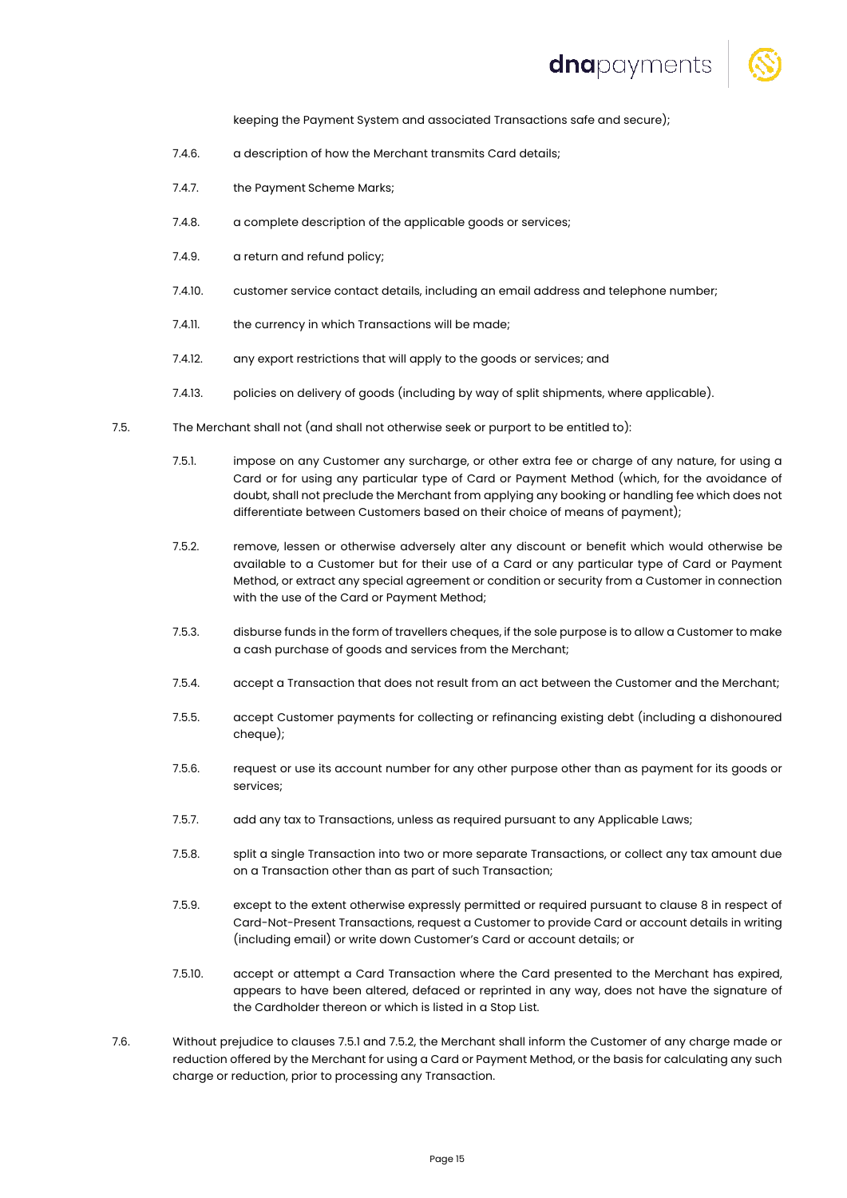# dnapayments



keeping the Payment System and associated Transactions safe and secure);

- 7.4.6. a description of how the Merchant transmits Card details;
- 7.4.7. the Payment Scheme Marks;
- 7.4.8. a complete description of the applicable goods or services;
- 7.4.9. **a return and refund policy:**
- 7.4.10. customer service contact details, including an email address and telephone number;
- 7.4.11. the currency in which Transactions will be made;
- 7.4.12. any export restrictions that will apply to the goods or services; and
- 7.4.13. policies on delivery of goods (including by way of split shipments, where applicable).
- 7.5. The Merchant shall not (and shall not otherwise seek or purport to be entitled to):
	- 7.5.1. impose on any Customer any surcharge, or other extra fee or charge of any nature, for using a Card or for using any particular type of Card or Payment Method (which, for the avoidance of doubt, shall not preclude the Merchant from applying any booking or handling fee which does not differentiate between Customers based on their choice of means of payment);
	- 7.5.2. remove, lessen or otherwise adversely alter any discount or benefit which would otherwise be available to a Customer but for their use of a Card or any particular type of Card or Payment Method, or extract any special agreement or condition or security from a Customer in connection with the use of the Card or Payment Method;
	- 7.5.3. disburse funds in the form of travellers cheques, if the sole purpose is to allow a Customer to make a cash purchase of goods and services from the Merchant;
	- 7.5.4. accept a Transaction that does not result from an act between the Customer and the Merchant;
	- 7.5.5. accept Customer payments for collecting or refinancing existing debt (including a dishonoured cheque);
	- 7.5.6. request or use its account number for any other purpose other than as payment for its goods or services;
	- 7.5.7. add any tax to Transactions, unless as required pursuant to any Applicable Laws;
	- 7.5.8. split a single Transaction into two or more separate Transactions, or collect any tax amount due on a Transaction other than as part of such Transaction;
	- 7.5.9. except to the extent otherwise expressly permitted or required pursuant to clause 8 in respect of Card-Not-Present Transactions, request a Customer to provide Card or account details in writing (including email) or write down Customer's Card or account details; or
	- 7.5.10. accept or attempt a Card Transaction where the Card presented to the Merchant has expired, appears to have been altered, defaced or reprinted in any way, does not have the signature of the Cardholder thereon or which is listed in a Stop List.
- 7.6. Without prejudice to clauses 7.5.1 and 7.5.2, the Merchant shall inform the Customer of any charge made or reduction offered by the Merchant for using a Card or Payment Method, or the basis for calculating any such charge or reduction, prior to processing any Transaction.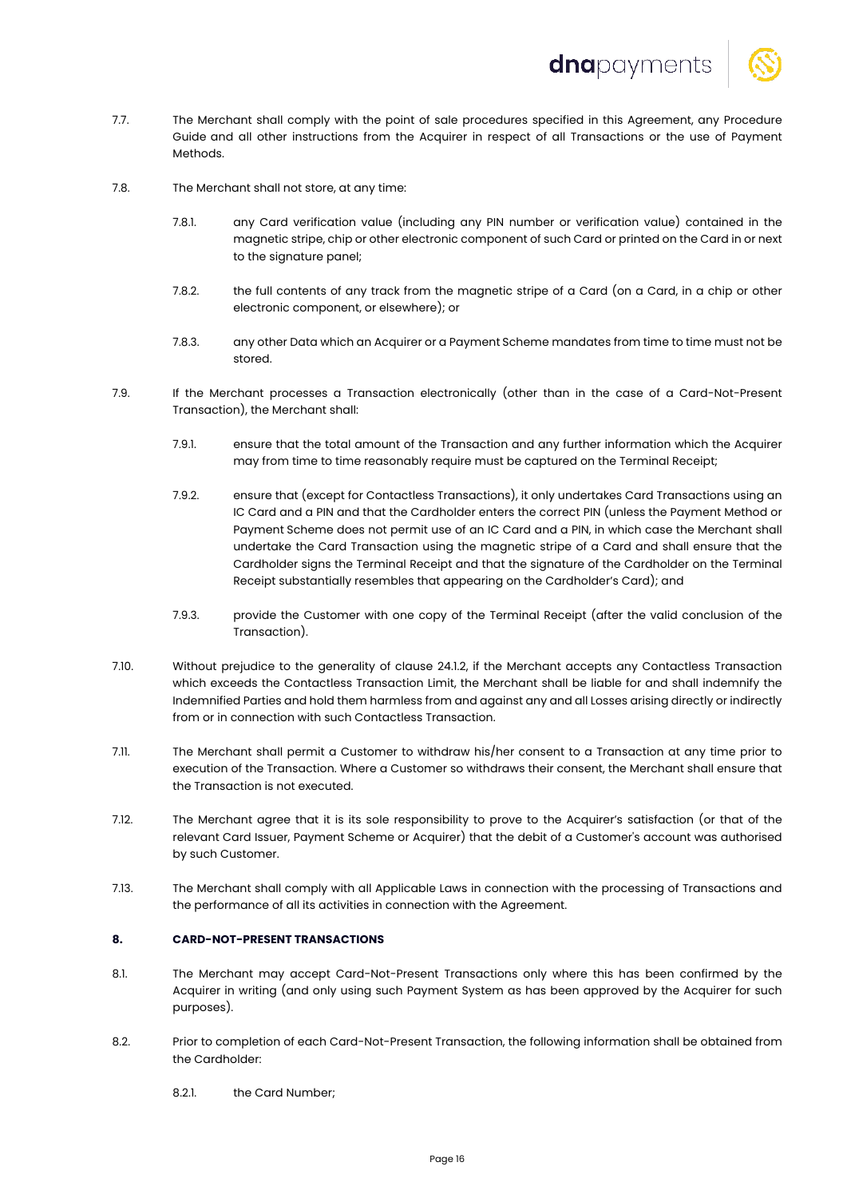

- 7.7. The Merchant shall comply with the point of sale procedures specified in this Agreement, any Procedure Guide and all other instructions from the Acquirer in respect of all Transactions or the use of Payment Methods.
- 7.8. The Merchant shall not store, at any time:
	- 7.8.1. any Card verification value (including any PIN number or verification value) contained in the magnetic stripe, chip or other electronic component of such Card or printed on the Card in or next to the signature panel;
	- 7.8.2. the full contents of any track from the magnetic stripe of a Card (on a Card, in a chip or other electronic component, or elsewhere); or
	- 7.8.3. any other Data which an Acquirer or a Payment Scheme mandates from time to time must not be stored.
- 7.9. If the Merchant processes a Transaction electronically (other than in the case of a Card-Not-Present Transaction), the Merchant shall:
	- 7.9.1. ensure that the total amount of the Transaction and any further information which the Acquirer may from time to time reasonably require must be captured on the Terminal Receipt;
	- 7.9.2. ensure that (except for Contactless Transactions), it only undertakes Card Transactions using an IC Card and a PIN and that the Cardholder enters the correct PIN (unless the Payment Method or Payment Scheme does not permit use of an IC Card and a PIN, in which case the Merchant shall undertake the Card Transaction using the magnetic stripe of a Card and shall ensure that the Cardholder signs the Terminal Receipt and that the signature of the Cardholder on the Terminal Receipt substantially resembles that appearing on the Cardholder's Card); and
	- 7.9.3. provide the Customer with one copy of the Terminal Receipt (after the valid conclusion of the Transaction).
- 7.10. Without prejudice to the generality of clause 24.1.2, if the Merchant accepts any Contactless Transaction which exceeds the Contactless Transaction Limit, the Merchant shall be liable for and shall indemnify the Indemnified Parties and hold them harmless from and against any and all Losses arising directly or indirectly from or in connection with such Contactless Transaction.
- 7.11. The Merchant shall permit a Customer to withdraw his/her consent to a Transaction at any time prior to execution of the Transaction. Where a Customer so withdraws their consent, the Merchant shall ensure that the Transaction is not executed.
- 7.12. The Merchant agree that it is its sole responsibility to prove to the Acquirer's satisfaction (or that of the relevant Card Issuer, Payment Scheme or Acquirer) that the debit of a Customer's account was authorised by such Customer.
- 7.13. The Merchant shall comply with all Applicable Laws in connection with the processing of Transactions and the performance of all its activities in connection with the Agreement.

# **8. CARD-NOT-PRESENT TRANSACTIONS**

- 8.1. The Merchant may accept Card-Not-Present Transactions only where this has been confirmed by the Acquirer in writing (and only using such Payment System as has been approved by the Acquirer for such purposes).
- 8.2. Prior to completion of each Card-Not-Present Transaction, the following information shall be obtained from the Cardholder:
	- 8.2.1. the Card Number;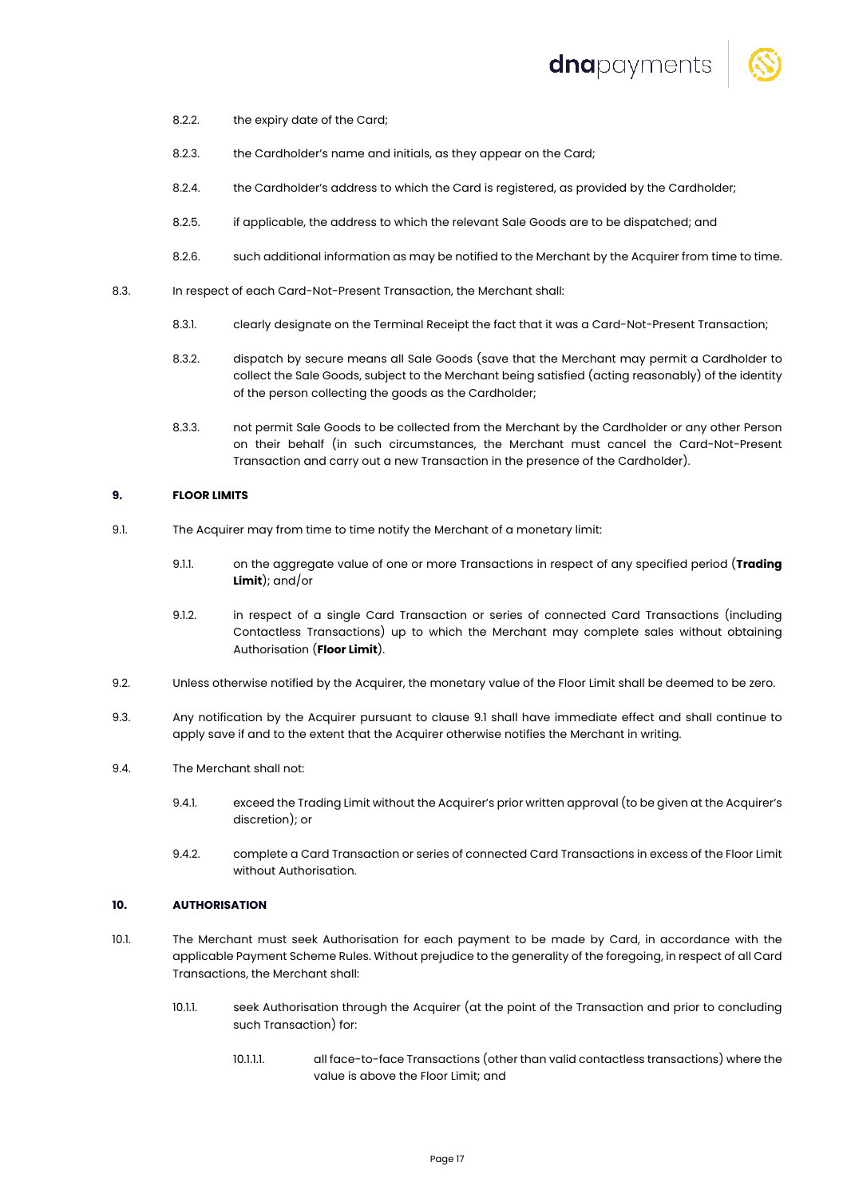

- 8.2.2. the expiry date of the Card;
- 8.2.3. the Cardholder's name and initials, as they appear on the Card;
- 8.2.4. the Cardholder's address to which the Card is registered, as provided by the Cardholder;
- 8.2.5. if applicable, the address to which the relevant Sale Goods are to be dispatched; and
- 8.2.6. such additional information as may be notified to the Merchant by the Acquirer from time to time.
- 8.3. In respect of each Card-Not-Present Transaction, the Merchant shall:
	- 8.3.1. clearly designate on the Terminal Receipt the fact that it was a Card-Not-Present Transaction;
	- 8.3.2. dispatch by secure means all Sale Goods (save that the Merchant may permit a Cardholder to collect the Sale Goods, subject to the Merchant being satisfied (acting reasonably) of the identity of the person collecting the goods as the Cardholder;
	- 8.3.3. not permit Sale Goods to be collected from the Merchant by the Cardholder or any other Person on their behalf (in such circumstances, the Merchant must cancel the Card-Not-Present Transaction and carry out a new Transaction in the presence of the Cardholder).

#### **9. FLOOR LIMITS**

- 9.1. The Acquirer may from time to time notify the Merchant of a monetary limit:
	- 9.1.1. on the aggregate value of one or more Transactions in respect of any specified period (**Trading Limit**); and/or
	- 9.1.2. in respect of a single Card Transaction or series of connected Card Transactions (including Contactless Transactions) up to which the Merchant may complete sales without obtaining Authorisation (**Floor Limit**).
- 9.2. Unless otherwise notified by the Acquirer, the monetary value of the Floor Limit shall be deemed to be zero.
- 9.3. Any notification by the Acquirer pursuant to clause 9.1 shall have immediate effect and shall continue to apply save if and to the extent that the Acquirer otherwise notifies the Merchant in writing.
- 9.4. The Merchant shall not:
	- 9.4.1. exceed the Trading Limit without the Acquirer's prior written approval (to be given at the Acquirer's discretion); or
	- 9.4.2. complete a Card Transaction or series of connected Card Transactions in excess of the Floor Limit without Authorisation.

# **10. AUTHORISATION**

- 10.1. The Merchant must seek Authorisation for each payment to be made by Card, in accordance with the applicable Payment Scheme Rules. Without prejudice to the generality of the foregoing, in respect of all Card Transactions, the Merchant shall:
	- 10.1.1. seek Authorisation through the Acquirer (at the point of the Transaction and prior to concluding such Transaction) for:
		- 10.1.1.1. all face-to-face Transactions (other than valid contactless transactions) where the value is above the Floor Limit; and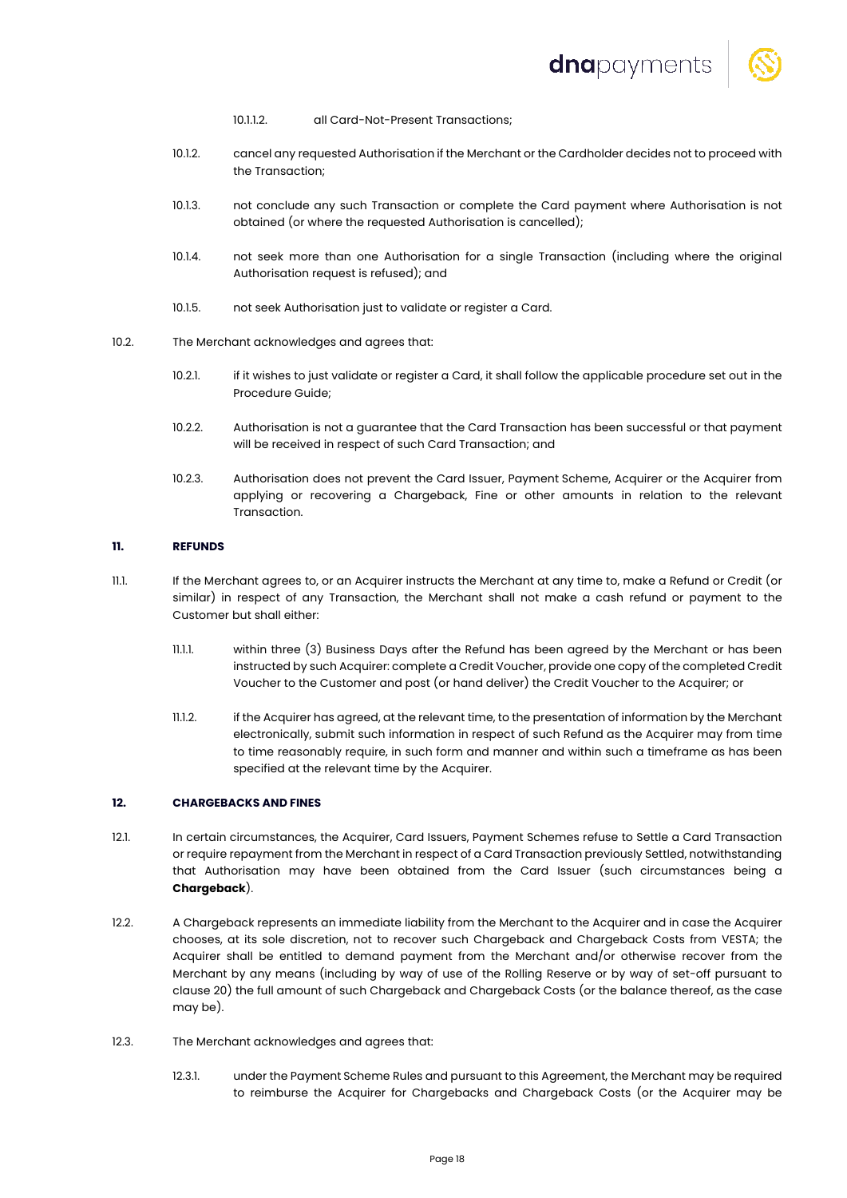

- 10.1.1.2. all Card-Not-Present Transactions;
- 10.1.2. cancel any requested Authorisation if the Merchant or the Cardholder decides not to proceed with the Transaction;
- 10.1.3. not conclude any such Transaction or complete the Card payment where Authorisation is not obtained (or where the requested Authorisation is cancelled);
- 10.1.4. not seek more than one Authorisation for a single Transaction (including where the original Authorisation request is refused); and
- 10.1.5. not seek Authorisation just to validate or register a Card.
- 10.2. The Merchant acknowledges and agrees that:
	- 10.2.1. if it wishes to just validate or register a Card, it shall follow the applicable procedure set out in the Procedure Guide;
	- 10.2.2. Authorisation is not a guarantee that the Card Transaction has been successful or that payment will be received in respect of such Card Transaction; and
	- 10.2.3. Authorisation does not prevent the Card Issuer, Payment Scheme, Acquirer or the Acquirer from applying or recovering a Chargeback, Fine or other amounts in relation to the relevant Transaction.

#### **11. REFUNDS**

- 11.1. If the Merchant agrees to, or an Acquirer instructs the Merchant at any time to, make a Refund or Credit (or similar) in respect of any Transaction, the Merchant shall not make a cash refund or payment to the Customer but shall either:
	- 11.1.1. within three (3) Business Days after the Refund has been agreed by the Merchant or has been instructed by such Acquirer: complete a Credit Voucher, provide one copy of the completed Credit Voucher to the Customer and post (or hand deliver) the Credit Voucher to the Acquirer; or
	- 11.1.2. if the Acquirer has agreed, at the relevant time, to the presentation of information by the Merchant electronically, submit such information in respect of such Refund as the Acquirer may from time to time reasonably require, in such form and manner and within such a timeframe as has been specified at the relevant time by the Acquirer.

#### **12. CHARGEBACKS AND FINES**

- 12.1. In certain circumstances, the Acquirer, Card Issuers, Payment Schemes refuse to Settle a Card Transaction or require repayment from the Merchant in respect of a Card Transaction previously Settled, notwithstanding that Authorisation may have been obtained from the Card Issuer (such circumstances being a **Chargeback**).
- 12.2. A Chargeback represents an immediate liability from the Merchant to the Acquirer and in case the Acquirer chooses, at its sole discretion, not to recover such Chargeback and Chargeback Costs from VESTA; the Acquirer shall be entitled to demand payment from the Merchant and/or otherwise recover from the Merchant by any means (including by way of use of the Rolling Reserve or by way of set-off pursuant to clause 20) the full amount of such Chargeback and Chargeback Costs (or the balance thereof, as the case may be).
- 12.3. The Merchant acknowledges and agrees that:
	- 12.3.1. under the Payment Scheme Rules and pursuant to this Agreement, the Merchant may be required to reimburse the Acquirer for Chargebacks and Chargeback Costs (or the Acquirer may be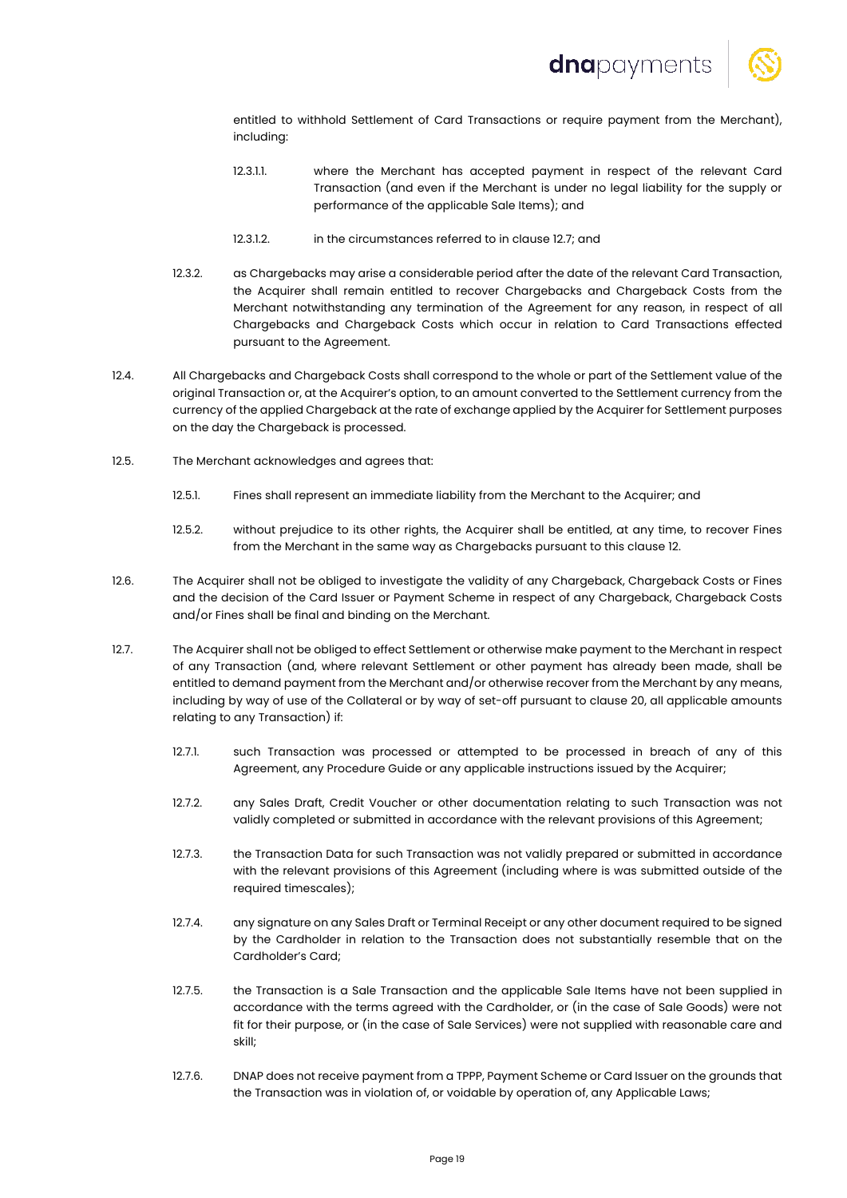

entitled to withhold Settlement of Card Transactions or require payment from the Merchant), including:

- 12.3.1.1. where the Merchant has accepted payment in respect of the relevant Card Transaction (and even if the Merchant is under no legal liability for the supply or performance of the applicable Sale Items); and
- 12.3.1.2. in the circumstances referred to in clause 12.7; and
- 12.3.2. as Chargebacks may arise a considerable period after the date of the relevant Card Transaction, the Acquirer shall remain entitled to recover Chargebacks and Chargeback Costs from the Merchant notwithstanding any termination of the Agreement for any reason, in respect of all Chargebacks and Chargeback Costs which occur in relation to Card Transactions effected pursuant to the Agreement.
- 12.4. All Chargebacks and Chargeback Costs shall correspond to the whole or part of the Settlement value of the original Transaction or, at the Acquirer's option, to an amount converted to the Settlement currency from the currency of the applied Chargeback at the rate of exchange applied by the Acquirer for Settlement purposes on the day the Chargeback is processed.
- 12.5. The Merchant acknowledges and agrees that:
	- 12.5.1. Fines shall represent an immediate liability from the Merchant to the Acquirer; and
	- 12.5.2. without prejudice to its other rights, the Acquirer shall be entitled, at any time, to recover Fines from the Merchant in the same way as Chargebacks pursuant to this clause 12.
- 12.6. The Acquirer shall not be obliged to investigate the validity of any Chargeback, Chargeback Costs or Fines and the decision of the Card Issuer or Payment Scheme in respect of any Chargeback, Chargeback Costs and/or Fines shall be final and binding on the Merchant.
- 12.7. The Acquirer shall not be obliged to effect Settlement or otherwise make payment to the Merchant in respect of any Transaction (and, where relevant Settlement or other payment has already been made, shall be entitled to demand payment from the Merchant and/or otherwise recover from the Merchant by any means, including by way of use of the Collateral or by way of set-off pursuant to clause 20, all applicable amounts relating to any Transaction) if:
	- 12.7.1. such Transaction was processed or attempted to be processed in breach of any of this Agreement, any Procedure Guide or any applicable instructions issued by the Acquirer;
	- 12.7.2. any Sales Draft, Credit Voucher or other documentation relating to such Transaction was not validly completed or submitted in accordance with the relevant provisions of this Agreement;
	- 12.7.3. the Transaction Data for such Transaction was not validly prepared or submitted in accordance with the relevant provisions of this Agreement (including where is was submitted outside of the required timescales);
	- 12.7.4. any signature on any Sales Draft or Terminal Receipt or any other document required to be signed by the Cardholder in relation to the Transaction does not substantially resemble that on the Cardholder's Card;
	- 12.7.5. the Transaction is a Sale Transaction and the applicable Sale Items have not been supplied in accordance with the terms agreed with the Cardholder, or (in the case of Sale Goods) were not fit for their purpose, or (in the case of Sale Services) were not supplied with reasonable care and skill;
	- 12.7.6. DNAP does not receive payment from a TPPP, Payment Scheme or Card Issuer on the grounds that the Transaction was in violation of, or voidable by operation of, any Applicable Laws;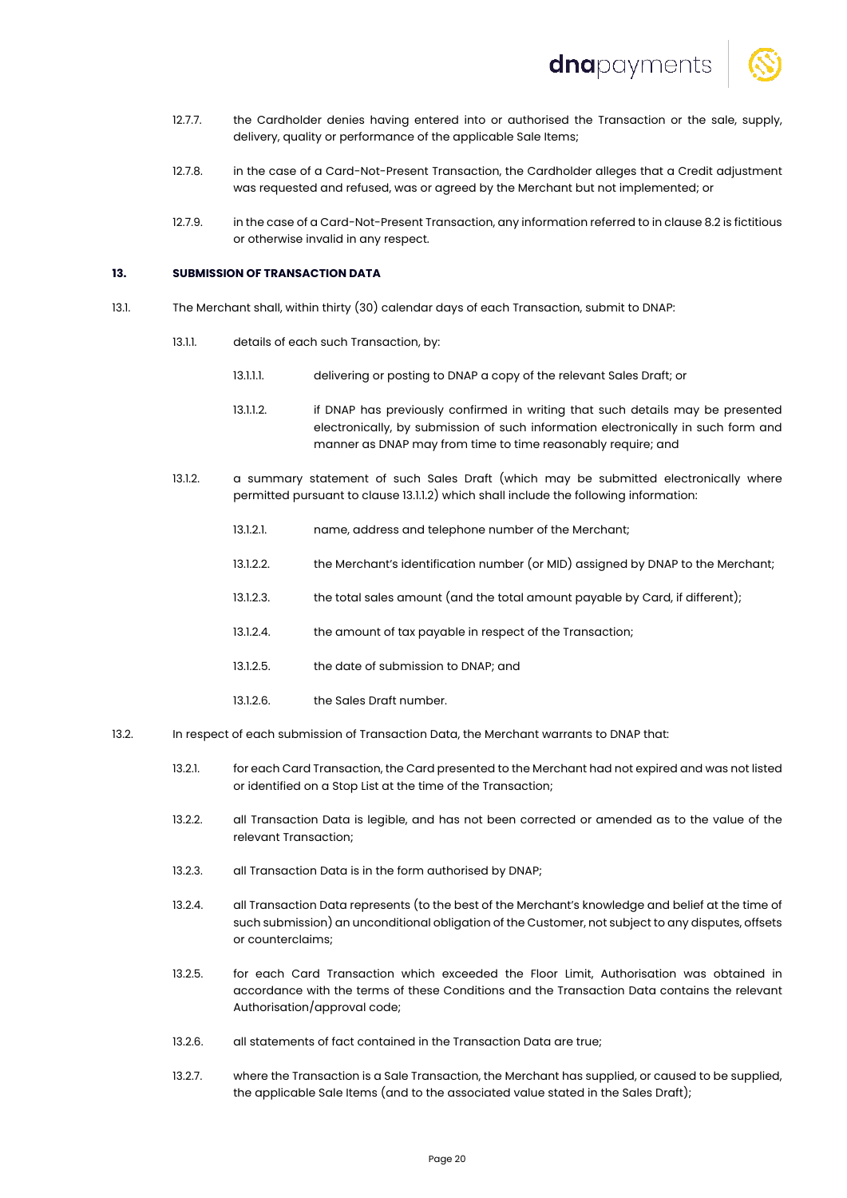

- 12.7.7. the Cardholder denies having entered into or authorised the Transaction or the sale, supply, delivery, quality or performance of the applicable Sale Items;
- 12.7.8. in the case of a Card-Not-Present Transaction, the Cardholder alleges that a Credit adjustment was requested and refused, was or agreed by the Merchant but not implemented; or
- 12.7.9. in the case of a Card-Not-Present Transaction, any information referred to in clause 8.2 is fictitious or otherwise invalid in any respect.

# **13. SUBMISSION OF TRANSACTION DATA**

- 13.1. The Merchant shall, within thirty (30) calendar days of each Transaction, submit to DNAP:
	- 13.1.1. details of each such Transaction, by:
		- 13.1.1.1. delivering or posting to DNAP a copy of the relevant Sales Draft; or
		- 13.1.1.2. if DNAP has previously confirmed in writing that such details may be presented electronically, by submission of such information electronically in such form and manner as DNAP may from time to time reasonably require; and
	- 13.1.2. a summary statement of such Sales Draft (which may be submitted electronically where permitted pursuant to clause 13.1.1.2) which shall include the following information:
		- 13.1.2.1. name, address and telephone number of the Merchant;
		- 13.1.2.2. the Merchant's identification number (or MID) assigned by DNAP to the Merchant;
		- 13.1.2.3. the total sales amount (and the total amount payable by Card, if different);
		- 13.1.2.4. the amount of tax payable in respect of the Transaction;
		- 13.1.2.5. the date of submission to DNAP; and
		- 13.1.2.6. the Sales Draft number.
- 13.2. In respect of each submission of Transaction Data, the Merchant warrants to DNAP that:
	- 13.2.1. for each Card Transaction, the Card presented to the Merchant had not expired and was not listed or identified on a Stop List at the time of the Transaction;
	- 13.2.2. all Transaction Data is legible, and has not been corrected or amended as to the value of the relevant Transaction;
	- 13.2.3. all Transaction Data is in the form authorised by DNAP;
	- 13.2.4. all Transaction Data represents (to the best of the Merchant's knowledge and belief at the time of such submission) an unconditional obligation of the Customer, not subject to any disputes, offsets or counterclaims;
	- 13.2.5. for each Card Transaction which exceeded the Floor Limit, Authorisation was obtained in accordance with the terms of these Conditions and the Transaction Data contains the relevant Authorisation/approval code;
	- 13.2.6. all statements of fact contained in the Transaction Data are true;
	- 13.2.7. where the Transaction is a Sale Transaction, the Merchant has supplied, or caused to be supplied, the applicable Sale Items (and to the associated value stated in the Sales Draft);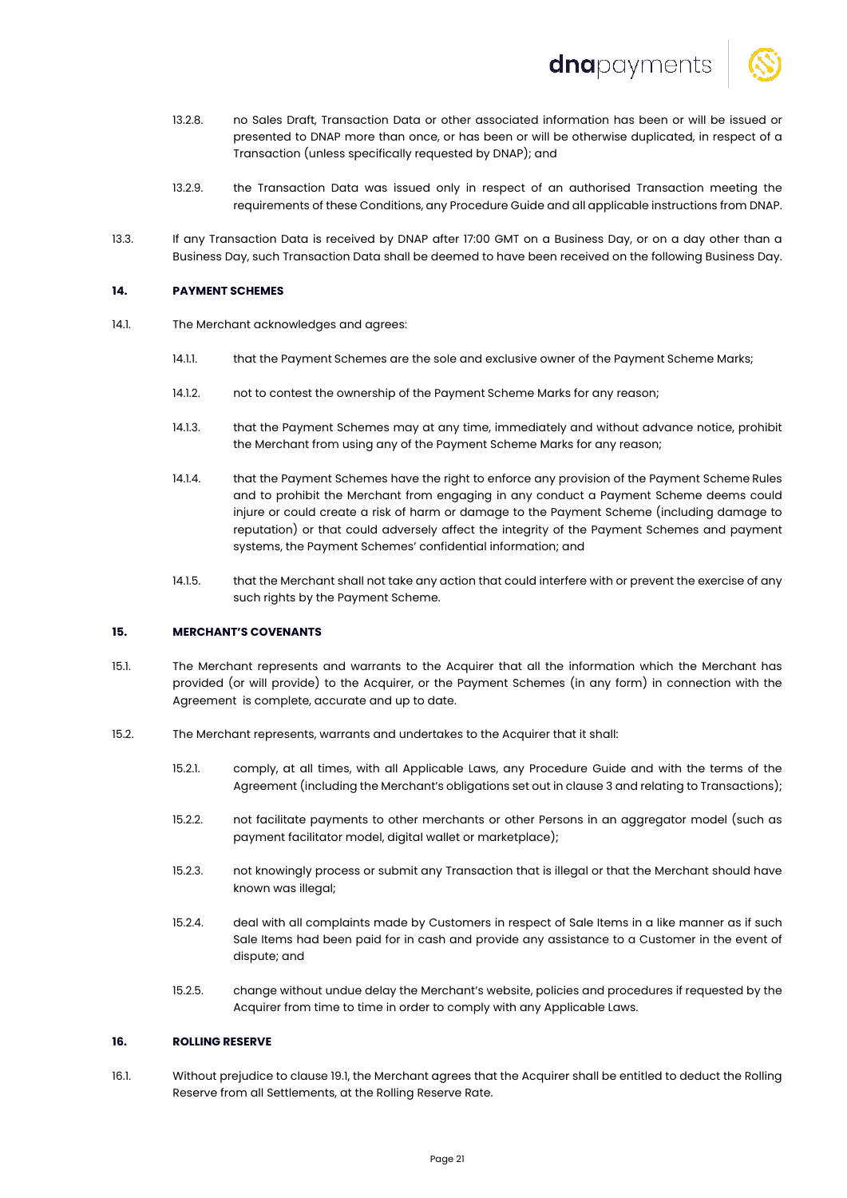

- 13.2.8. no Sales Draft, Transaction Data or other associated information has been or will be issued or presented to DNAP more than once, or has been or will be otherwise duplicated, in respect of a Transaction (unless specifically requested by DNAP); and
- 13.2.9. the Transaction Data was issued only in respect of an authorised Transaction meeting the requirements of these Conditions, any Procedure Guide and all applicable instructions from DNAP.
- 13.3. If any Transaction Data is received by DNAP after 17:00 GMT on a Business Day, or on a day other than a Business Day, such Transaction Data shall be deemed to have been received on the following Business Day.

## **14. PAYMENT SCHEMES**

- 14.1. The Merchant acknowledges and agrees:
	- 14.1.1. that the Payment Schemes are the sole and exclusive owner of the Payment Scheme Marks;
	- 14.1.2. not to contest the ownership of the Payment Scheme Marks for any reason;
	- 14.1.3. that the Payment Schemes may at any time, immediately and without advance notice, prohibit the Merchant from using any of the Payment Scheme Marks for any reason;
	- 14.1.4. that the Payment Schemes have the right to enforce any provision of the Payment Scheme Rules and to prohibit the Merchant from engaging in any conduct a Payment Scheme deems could injure or could create a risk of harm or damage to the Payment Scheme (including damage to reputation) or that could adversely affect the integrity of the Payment Schemes and payment systems, the Payment Schemes' confidential information; and
	- 14.1.5. that the Merchant shall not take any action that could interfere with or prevent the exercise of any such rights by the Payment Scheme.

# **15. MERCHANT'S COVENANTS**

- 15.1. The Merchant represents and warrants to the Acquirer that all the information which the Merchant has provided (or will provide) to the Acquirer, or the Payment Schemes (in any form) in connection with the Agreement is complete, accurate and up to date.
- 15.2. The Merchant represents, warrants and undertakes to the Acquirer that it shall:
	- 15.2.1. comply, at all times, with all Applicable Laws, any Procedure Guide and with the terms of the Agreement (including the Merchant's obligations set out in clause 3 and relating to Transactions);
	- 15.2.2. not facilitate payments to other merchants or other Persons in an aggregator model (such as payment facilitator model, digital wallet or marketplace);
	- 15.2.3. not knowingly process or submit any Transaction that is illegal or that the Merchant should have known was illegal;
	- 15.2.4. deal with all complaints made by Customers in respect of Sale Items in a like manner as if such Sale Items had been paid for in cash and provide any assistance to a Customer in the event of dispute; and
	- 15.2.5. change without undue delay the Merchant's website, policies and procedures if requested by the Acquirer from time to time in order to comply with any Applicable Laws.

# **16. ROLLING RESERVE**

16.1. Without prejudice to clause 19.1, the Merchant agrees that the Acquirer shall be entitled to deduct the Rolling Reserve from all Settlements, at the Rolling Reserve Rate.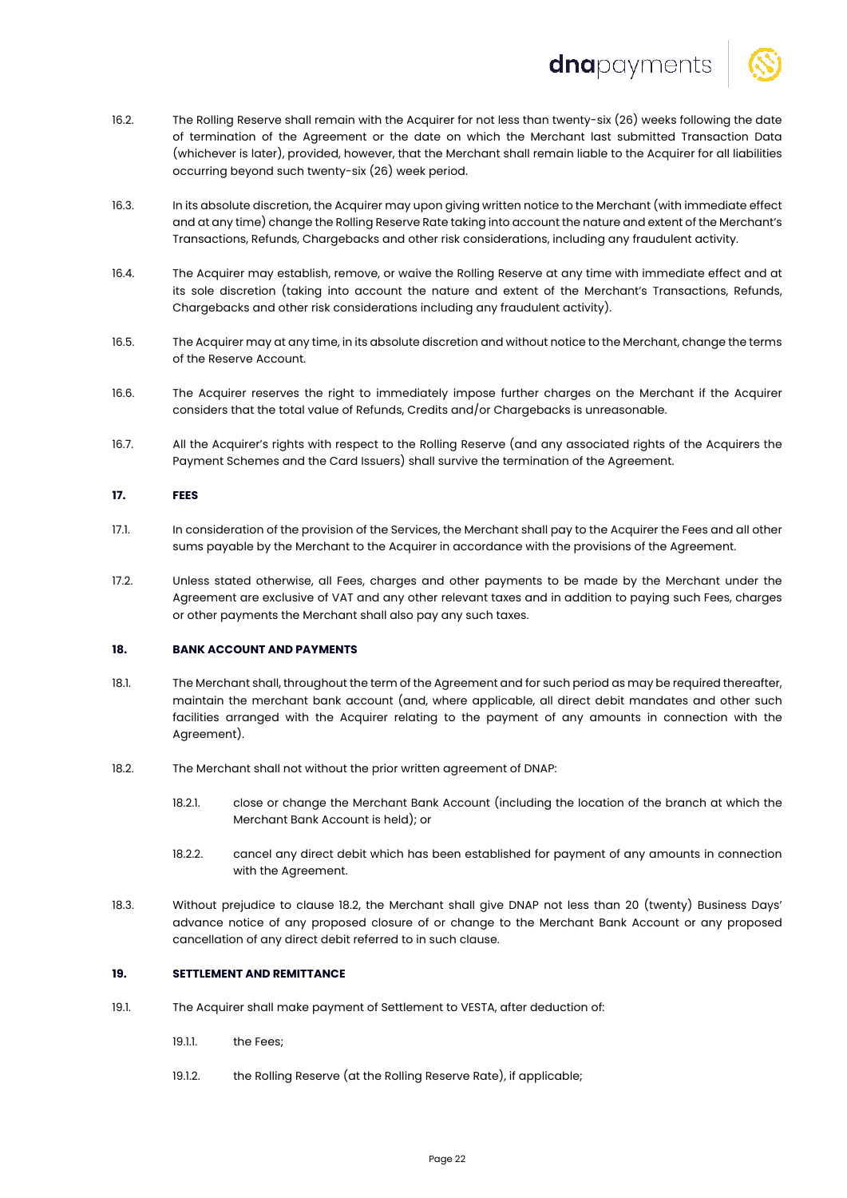

- 16.2. The Rolling Reserve shall remain with the Acquirer for not less than twenty-six (26) weeks following the date of termination of the Agreement or the date on which the Merchant last submitted Transaction Data (whichever is later), provided, however, that the Merchant shall remain liable to the Acquirer for all liabilities occurring beyond such twenty-six (26) week period.
- 16.3. In its absolute discretion, the Acquirer may upon giving written notice to the Merchant (with immediate effect and at any time) change the Rolling Reserve Rate taking into account the nature and extent of the Merchant's Transactions, Refunds, Chargebacks and other risk considerations, including any fraudulent activity.
- 16.4. The Acquirer may establish, remove, or waive the Rolling Reserve at any time with immediate effect and at its sole discretion (taking into account the nature and extent of the Merchant's Transactions, Refunds, Chargebacks and other risk considerations including any fraudulent activity).
- 16.5. The Acquirer may at any time, in its absolute discretion and without notice to the Merchant, change the terms of the Reserve Account.
- 16.6. The Acquirer reserves the right to immediately impose further charges on the Merchant if the Acquirer considers that the total value of Refunds, Credits and/or Chargebacks is unreasonable.
- 16.7. All the Acquirer's rights with respect to the Rolling Reserve (and any associated rights of the Acquirers the Payment Schemes and the Card Issuers) shall survive the termination of the Agreement.

# **17. FEES**

- 17.1. In consideration of the provision of the Services, the Merchant shall pay to the Acquirer the Fees and all other sums payable by the Merchant to the Acquirer in accordance with the provisions of the Agreement.
- 17.2. Unless stated otherwise, all Fees, charges and other payments to be made by the Merchant under the Agreement are exclusive of VAT and any other relevant taxes and in addition to paying such Fees, charges or other payments the Merchant shall also pay any such taxes.

# **18. BANK ACCOUNT AND PAYMENTS**

- 18.1. The Merchant shall, throughout the term of the Agreement and for such period as may be required thereafter, maintain the merchant bank account (and, where applicable, all direct debit mandates and other such facilities arranged with the Acquirer relating to the payment of any amounts in connection with the Agreement).
- 18.2. The Merchant shall not without the prior written agreement of DNAP:
	- 18.2.1. close or change the Merchant Bank Account (including the location of the branch at which the Merchant Bank Account is held); or
	- 18.2.2. cancel any direct debit which has been established for payment of any amounts in connection with the Agreement.
- 18.3. Without prejudice to clause 18.2, the Merchant shall give DNAP not less than 20 (twenty) Business Days' advance notice of any proposed closure of or change to the Merchant Bank Account or any proposed cancellation of any direct debit referred to in such clause.

# **19. SETTLEMENT AND REMITTANCE**

- 19.1. The Acquirer shall make payment of Settlement to VESTA, after deduction of:
	- 19.1.1. the Fees;
	- 19.1.2. the Rolling Reserve (at the Rolling Reserve Rate), if applicable;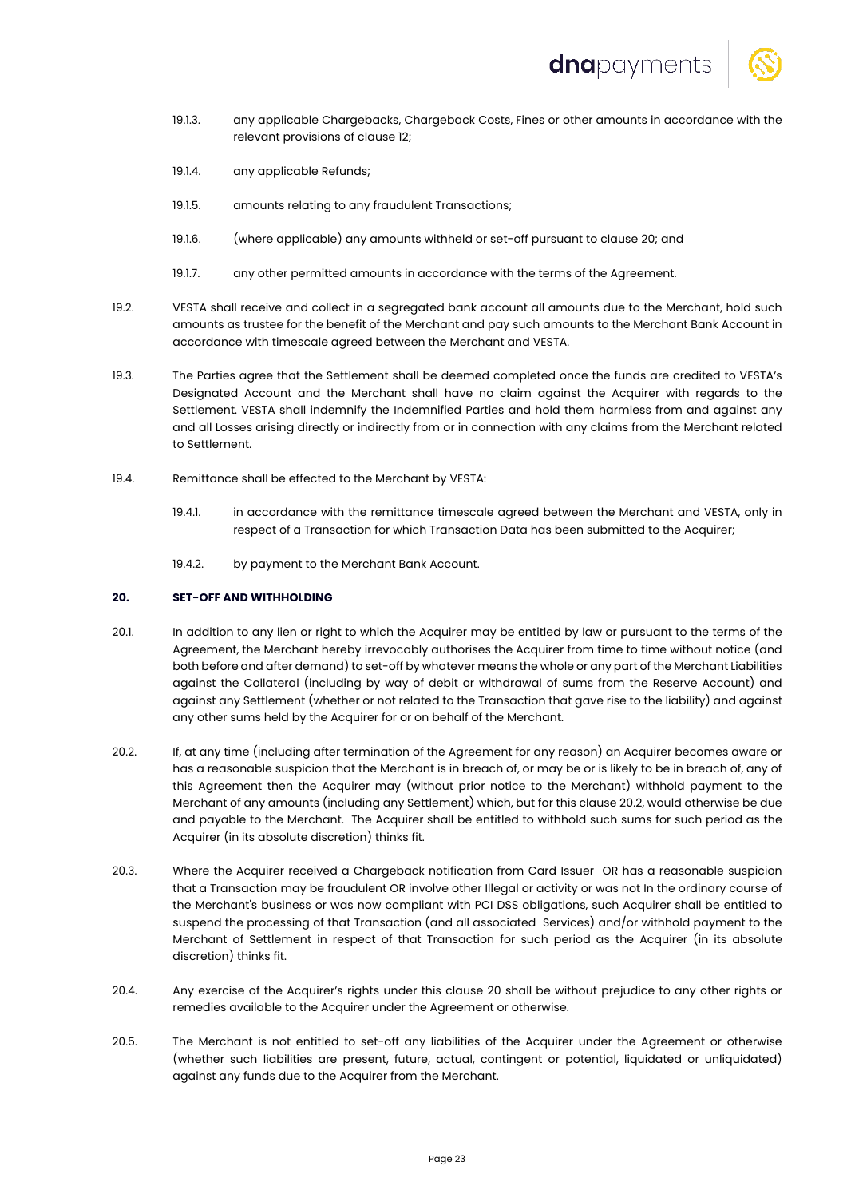

- 19.1.3. any applicable Chargebacks, Chargeback Costs, Fines or other amounts in accordance with the relevant provisions of clause 12;
- 19.1.4. any applicable Refunds;
- 19.1.5. amounts relating to any fraudulent Transactions;
- 19.1.6. (where applicable) any amounts withheld or set-off pursuant to clause 20; and
- 19.1.7. any other permitted amounts in accordance with the terms of the Agreement.
- 19.2. VESTA shall receive and collect in a segregated bank account all amounts due to the Merchant, hold such amounts as trustee for the benefit of the Merchant and pay such amounts to the Merchant Bank Account in accordance with timescale agreed between the Merchant and VESTA.
- 19.3. The Parties agree that the Settlement shall be deemed completed once the funds are credited to VESTA's Designated Account and the Merchant shall have no claim against the Acquirer with regards to the Settlement. VESTA shall indemnify the Indemnified Parties and hold them harmless from and against any and all Losses arising directly or indirectly from or in connection with any claims from the Merchant related to Settlement.
- 19.4. Remittance shall be effected to the Merchant by VESTA:
	- 19.4.1. in accordance with the remittance timescale agreed between the Merchant and VESTA, only in respect of a Transaction for which Transaction Data has been submitted to the Acquirer;
	- 19.4.2. by payment to the Merchant Bank Account.

## **20. SET-OFF AND WITHHOLDING**

- 20.1. In addition to any lien or right to which the Acquirer may be entitled by law or pursuant to the terms of the Agreement, the Merchant hereby irrevocably authorises the Acquirer from time to time without notice (and both before and after demand) to set-off by whatever means the whole or any part of the Merchant Liabilities against the Collateral (including by way of debit or withdrawal of sums from the Reserve Account) and against any Settlement (whether or not related to the Transaction that gave rise to the liability) and against any other sums held by the Acquirer for or on behalf of the Merchant.
- 20.2. If, at any time (including after termination of the Agreement for any reason) an Acquirer becomes aware or has a reasonable suspicion that the Merchant is in breach of, or may be or is likely to be in breach of, any of this Agreement then the Acquirer may (without prior notice to the Merchant) withhold payment to the Merchant of any amounts (including any Settlement) which, but for this clause 20.2, would otherwise be due and payable to the Merchant. The Acquirer shall be entitled to withhold such sums for such period as the Acquirer (in its absolute discretion) thinks fit.
- 20.3. Where the Acquirer received a Chargeback notification from Card Issuer OR has a reasonable suspicion that a Transaction may be fraudulent OR involve other Illegal or activity or was not In the ordinary course of the Merchant's business or was now compliant with PCI DSS obligations, such Acquirer shall be entitled to suspend the processing of that Transaction (and all associated Services) and/or withhold payment to the Merchant of Settlement in respect of that Transaction for such period as the Acquirer (in its absolute discretion) thinks fit.
- 20.4. Any exercise of the Acquirer's rights under this clause 20 shall be without prejudice to any other rights or remedies available to the Acquirer under the Agreement or otherwise.
- 20.5. The Merchant is not entitled to set-off any liabilities of the Acquirer under the Agreement or otherwise (whether such liabilities are present, future, actual, contingent or potential, liquidated or unliquidated) against any funds due to the Acquirer from the Merchant.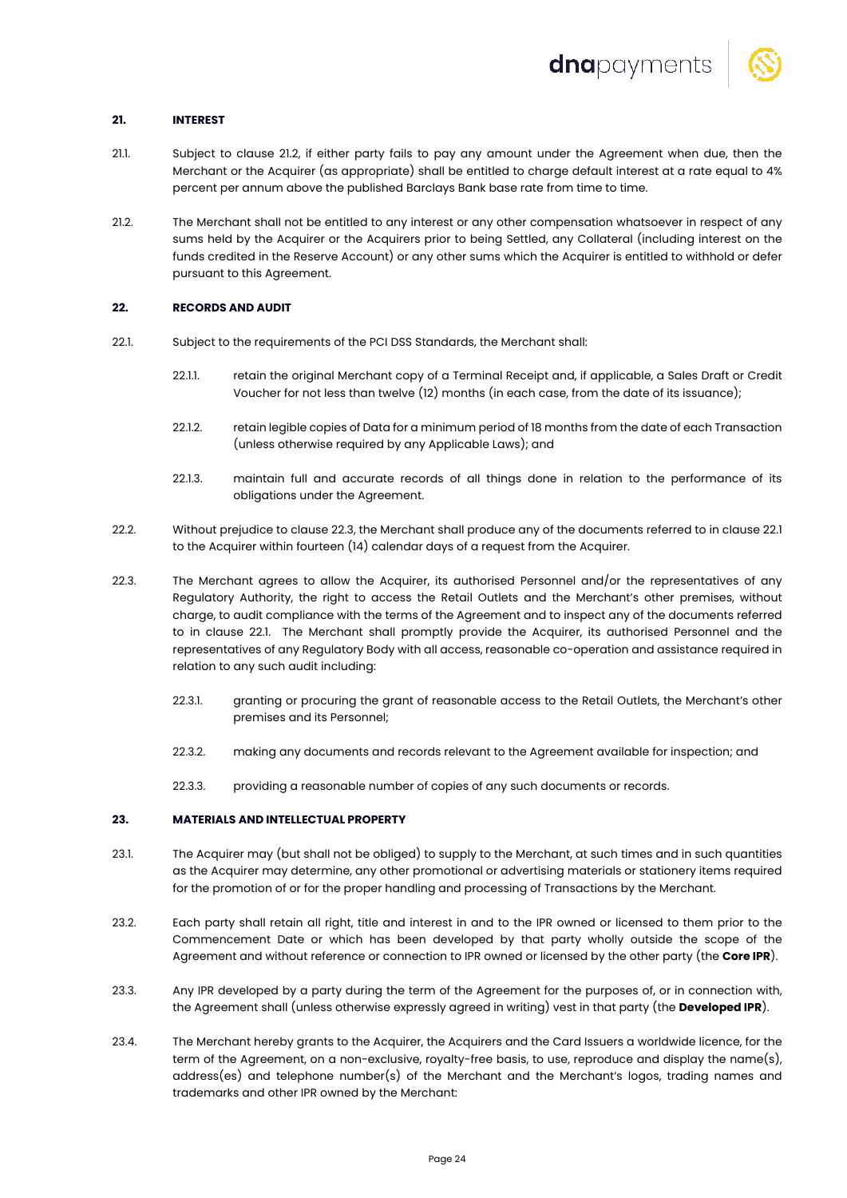

# **21. INTEREST**

- 21.1. Subject to clause 21.2, if either party fails to pay any amount under the Agreement when due, then the Merchant or the Acquirer (as appropriate) shall be entitled to charge default interest at a rate equal to 4% percent per annum above the published Barclays Bank base rate from time to time.
- 21.2. The Merchant shall not be entitled to any interest or any other compensation whatsoever in respect of any sums held by the Acquirer or the Acquirers prior to being Settled, any Collateral (including interest on the funds credited in the Reserve Account) or any other sums which the Acquirer is entitled to withhold or defer pursuant to this Agreement.

# **22. RECORDS AND AUDIT**

- 22.1. Subject to the requirements of the PCI DSS Standards, the Merchant shall:
	- 22.1.1. retain the original Merchant copy of a Terminal Receipt and, if applicable, a Sales Draft or Credit Voucher for not less than twelve (12) months (in each case, from the date of its issuance);
	- 22.1.2. retain legible copies of Data for a minimum period of 18 months from the date of each Transaction (unless otherwise required by any Applicable Laws); and
	- 22.1.3. maintain full and accurate records of all things done in relation to the performance of its obligations under the Agreement.
- 22.2. Without prejudice to clause 22.3, the Merchant shall produce any of the documents referred to in clause 22.1 to the Acquirer within fourteen (14) calendar days of a request from the Acquirer.
- 22.3. The Merchant agrees to allow the Acquirer, its authorised Personnel and/or the representatives of any Regulatory Authority, the right to access the Retail Outlets and the Merchant's other premises, without charge, to audit compliance with the terms of the Agreement and to inspect any of the documents referred to in clause 22.1. The Merchant shall promptly provide the Acquirer, its authorised Personnel and the representatives of any Regulatory Body with all access, reasonable co-operation and assistance required in relation to any such audit including:
	- 22.3.1. granting or procuring the grant of reasonable access to the Retail Outlets, the Merchant's other premises and its Personnel;
	- 22.3.2. making any documents and records relevant to the Agreement available for inspection; and
	- 22.3.3. providing a reasonable number of copies of any such documents or records.

# **23. MATERIALS AND INTELLECTUAL PROPERTY**

- 23.1. The Acquirer may (but shall not be obliged) to supply to the Merchant, at such times and in such quantities as the Acquirer may determine, any other promotional or advertising materials or stationery items required for the promotion of or for the proper handling and processing of Transactions by the Merchant.
- 23.2. Each party shall retain all right, title and interest in and to the IPR owned or licensed to them prior to the Commencement Date or which has been developed by that party wholly outside the scope of the Agreement and without reference or connection to IPR owned or licensed by the other party (the **Core IPR**).
- 23.3. Any IPR developed by a party during the term of the Agreement for the purposes of, or in connection with, the Agreement shall (unless otherwise expressly agreed in writing) vest in that party (the **Developed IPR**).
- 23.4. The Merchant hereby grants to the Acquirer, the Acquirers and the Card Issuers a worldwide licence, for the term of the Agreement, on a non-exclusive, royalty-free basis, to use, reproduce and display the name(s), address(es) and telephone number(s) of the Merchant and the Merchant's logos, trading names and trademarks and other IPR owned by the Merchant: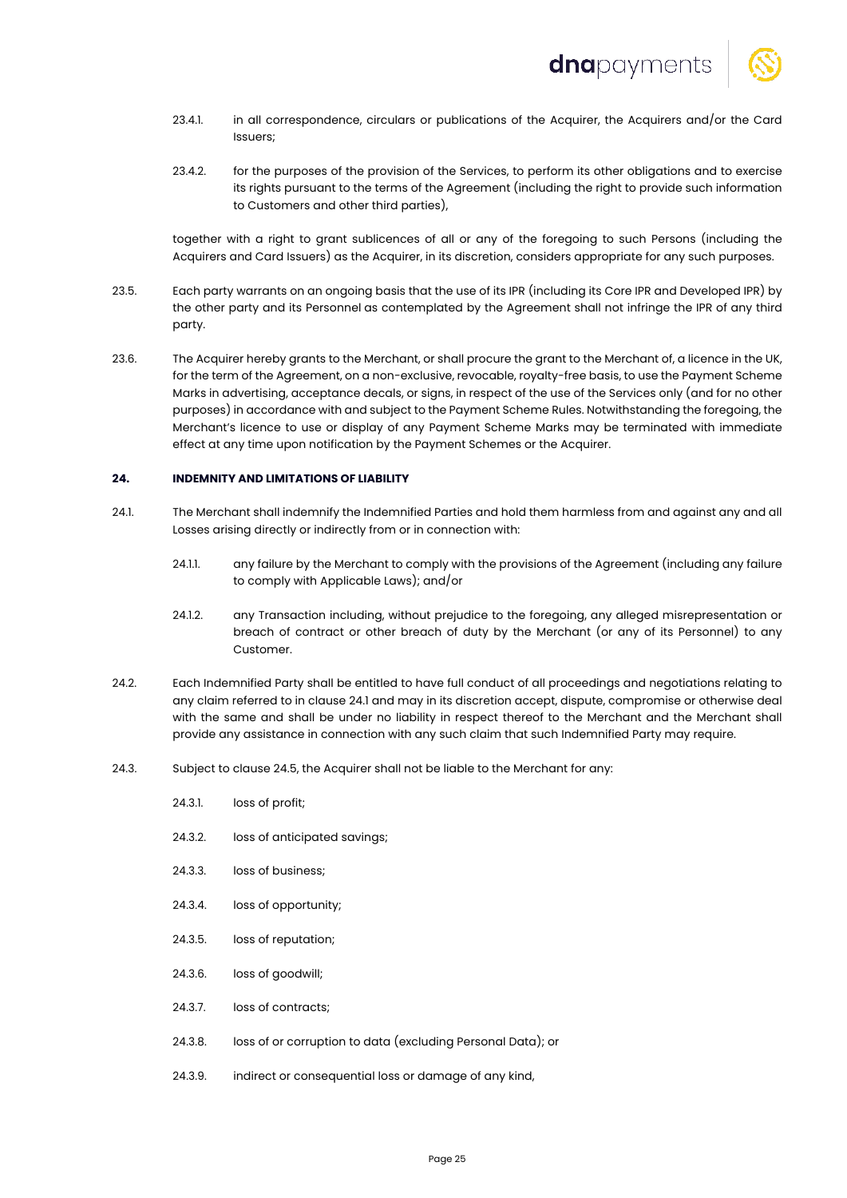

- 23.4.1. in all correspondence, circulars or publications of the Acquirer, the Acquirers and/or the Card Issuers;
- 23.4.2. for the purposes of the provision of the Services, to perform its other obligations and to exercise its rights pursuant to the terms of the Agreement (including the right to provide such information to Customers and other third parties),

together with a right to grant sublicences of all or any of the foregoing to such Persons (including the Acquirers and Card Issuers) as the Acquirer, in its discretion, considers appropriate for any such purposes.

- 23.5. Each party warrants on an ongoing basis that the use of its IPR (including its Core IPR and Developed IPR) by the other party and its Personnel as contemplated by the Agreement shall not infringe the IPR of any third party.
- 23.6. The Acquirer hereby grants to the Merchant, or shall procure the grant to the Merchant of, a licence in the UK, for the term of the Agreement, on a non-exclusive, revocable, royalty-free basis, to use the Payment Scheme Marks in advertising, acceptance decals, or signs, in respect of the use of the Services only (and for no other purposes) in accordance with and subject to the Payment Scheme Rules. Notwithstanding the foregoing, the Merchant's licence to use or display of any Payment Scheme Marks may be terminated with immediate effect at any time upon notification by the Payment Schemes or the Acquirer.

#### **24. INDEMNITY AND LIMITATIONS OF LIABILITY**

- 24.1. The Merchant shall indemnify the Indemnified Parties and hold them harmless from and against any and all Losses arising directly or indirectly from or in connection with:
	- 24.1.1. any failure by the Merchant to comply with the provisions of the Agreement (including any failure to comply with Applicable Laws); and/or
	- 24.1.2. any Transaction including, without prejudice to the foregoing, any alleged misrepresentation or breach of contract or other breach of duty by the Merchant (or any of its Personnel) to any Customer.
- 24.2. Each Indemnified Party shall be entitled to have full conduct of all proceedings and negotiations relating to any claim referred to in clause 24.1 and may in its discretion accept, dispute, compromise or otherwise deal with the same and shall be under no liability in respect thereof to the Merchant and the Merchant shall provide any assistance in connection with any such claim that such Indemnified Party may require.
- 24.3. Subject to clause 24.5, the Acquirer shall not be liable to the Merchant for any:
	- 24.3.1. loss of profit;
	- 24.3.2. loss of anticipated savings;
	- 24.3.3. loss of business;
	- 24.3.4. loss of opportunity;
	- 24.3.5. loss of reputation;
	- 24.3.6. loss of goodwill;
	- 24.3.7. loss of contracts;
	- 24.3.8. loss of or corruption to data (excluding Personal Data); or
	- 24.3.9. indirect or consequential loss or damage of any kind,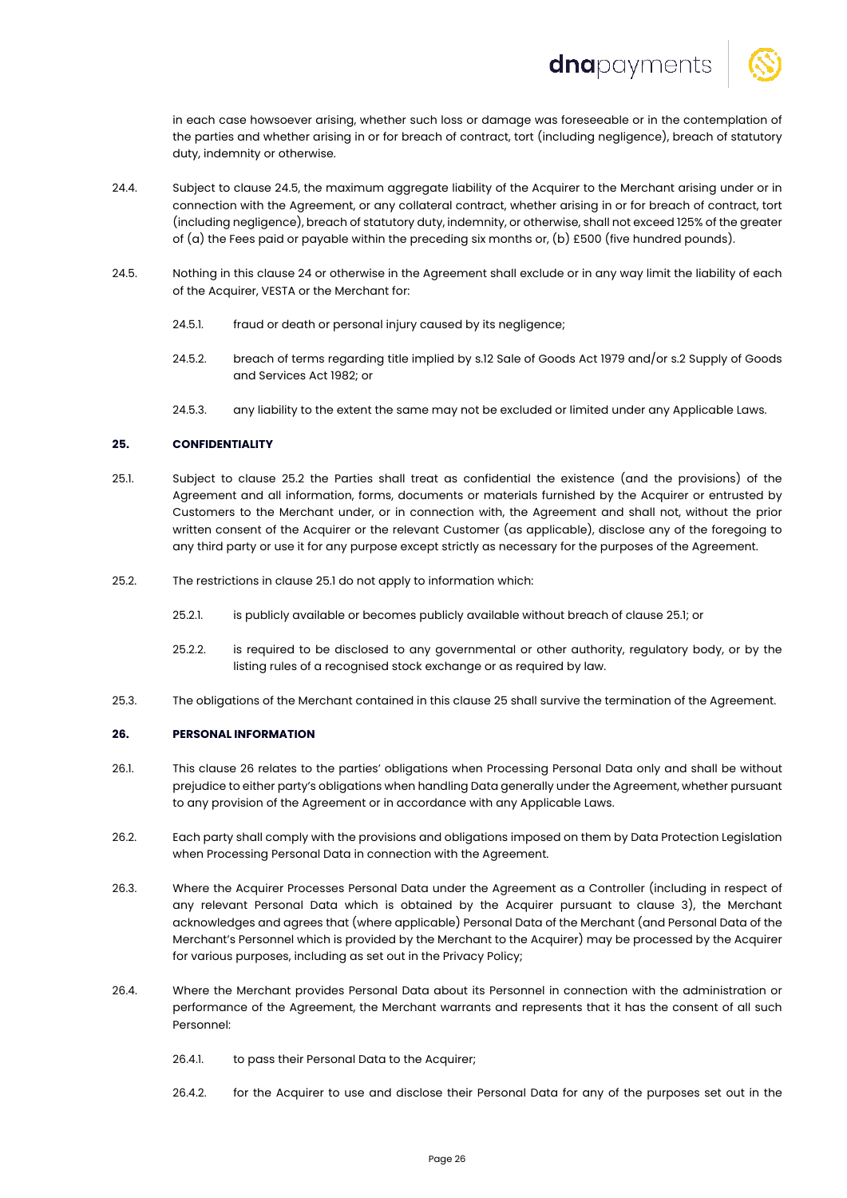

in each case howsoever arising, whether such loss or damage was foreseeable or in the contemplation of the parties and whether arising in or for breach of contract, tort (including negligence), breach of statutory duty, indemnity or otherwise.

- 24.4. Subject to clause 24.5, the maximum aggregate liability of the Acquirer to the Merchant arising under or in connection with the Agreement, or any collateral contract, whether arising in or for breach of contract, tort (including negligence), breach of statutory duty, indemnity, or otherwise, shall not exceed 125% of the greater of (a) the Fees paid or payable within the preceding six months or, (b) £500 (five hundred pounds).
- 24.5. Nothing in this clause 24 or otherwise in the Agreement shall exclude or in any way limit the liability of each of the Acquirer, VESTA or the Merchant for:
	- 24.5.1. fraud or death or personal injury caused by its negligence;
	- 24.5.2. breach of terms regarding title implied by s.12 Sale of Goods Act 1979 and/or s.2 Supply of Goods and Services Act 1982; or
	- 24.5.3. any liability to the extent the same may not be excluded or limited under any Applicable Laws.

# **25. CONFIDENTIALITY**

- 25.1. Subject to clause 25.2 the Parties shall treat as confidential the existence (and the provisions) of the Agreement and all information, forms, documents or materials furnished by the Acquirer or entrusted by Customers to the Merchant under, or in connection with, the Agreement and shall not, without the prior written consent of the Acquirer or the relevant Customer (as applicable), disclose any of the foregoing to any third party or use it for any purpose except strictly as necessary for the purposes of the Agreement.
- 25.2. The restrictions in clause 25.1 do not apply to information which:
	- 25.2.1. is publicly available or becomes publicly available without breach of clause 25.1; or
	- 25.2.2. is required to be disclosed to any governmental or other authority, regulatory body, or by the listing rules of a recognised stock exchange or as required by law.
- 25.3. The obligations of the Merchant contained in this clause 25 shall survive the termination of the Agreement.

#### **26. PERSONAL INFORMATION**

- 26.1. This clause 26 relates to the parties' obligations when Processing Personal Data only and shall be without prejudice to either party's obligations when handling Data generally under the Agreement, whether pursuant to any provision of the Agreement or in accordance with any Applicable Laws.
- 26.2. Each party shall comply with the provisions and obligations imposed on them by Data Protection Legislation when Processing Personal Data in connection with the Agreement.
- 26.3. Where the Acquirer Processes Personal Data under the Agreement as a Controller (including in respect of any relevant Personal Data which is obtained by the Acquirer pursuant to clause 3), the Merchant acknowledges and agrees that (where applicable) Personal Data of the Merchant (and Personal Data of the Merchant's Personnel which is provided by the Merchant to the Acquirer) may be processed by the Acquirer for various purposes, including as set out in the Privacy Policy;
- 26.4. Where the Merchant provides Personal Data about its Personnel in connection with the administration or performance of the Agreement, the Merchant warrants and represents that it has the consent of all such Personnel:
	- 26.4.1. to pass their Personal Data to the Acquirer;
	- 26.4.2. for the Acquirer to use and disclose their Personal Data for any of the purposes set out in the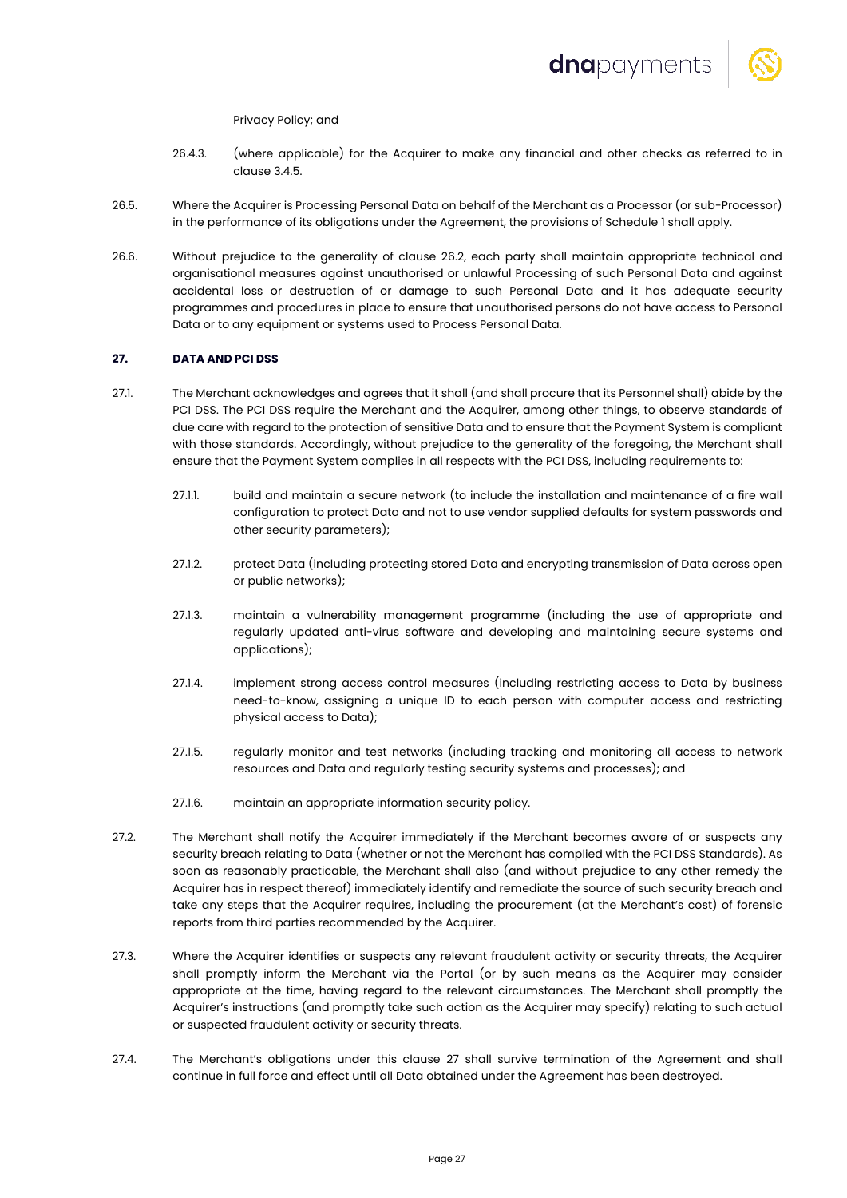

Privacy Policy; and

- 26.4.3. (where applicable) for the Acquirer to make any financial and other checks as referred to in clause 3.4.5.
- 26.5. Where the Acquirer is Processing Personal Data on behalf of the Merchant as a Processor (or sub-Processor) in the performance of its obligations under the Agreement, the provisions of Schedule 1 shall apply.
- 26.6. Without prejudice to the generality of clause 26.2, each party shall maintain appropriate technical and organisational measures against unauthorised or unlawful Processing of such Personal Data and against accidental loss or destruction of or damage to such Personal Data and it has adequate security programmes and procedures in place to ensure that unauthorised persons do not have access to Personal Data or to any equipment or systems used to Process Personal Data.

# **27. DATA AND PCI DSS**

- 27.1. The Merchant acknowledges and agrees that it shall (and shall procure that its Personnel shall) abide by the PCI DSS. The PCI DSS require the Merchant and the Acquirer, among other things, to observe standards of due care with regard to the protection of sensitive Data and to ensure that the Payment System is compliant with those standards. Accordingly, without prejudice to the generality of the foregoing, the Merchant shall ensure that the Payment System complies in all respects with the PCI DSS, including requirements to:
	- 27.1.1. build and maintain a secure network (to include the installation and maintenance of a fire wall configuration to protect Data and not to use vendor supplied defaults for system passwords and other security parameters);
	- 27.1.2. protect Data (including protecting stored Data and encrypting transmission of Data across open or public networks);
	- 27.1.3. maintain a vulnerability management programme (including the use of appropriate and regularly updated anti-virus software and developing and maintaining secure systems and applications);
	- 27.1.4. implement strong access control measures (including restricting access to Data by business need-to-know, assigning a unique ID to each person with computer access and restricting physical access to Data);
	- 27.1.5. regularly monitor and test networks (including tracking and monitoring all access to network resources and Data and regularly testing security systems and processes); and
	- 27.1.6. maintain an appropriate information security policy.
- 27.2. The Merchant shall notify the Acquirer immediately if the Merchant becomes aware of or suspects any security breach relating to Data (whether or not the Merchant has complied with the PCI DSS Standards). As soon as reasonably practicable, the Merchant shall also (and without prejudice to any other remedy the Acquirer has in respect thereof) immediately identify and remediate the source of such security breach and take any steps that the Acquirer requires, including the procurement (at the Merchant's cost) of forensic reports from third parties recommended by the Acquirer.
- 27.3. Where the Acquirer identifies or suspects any relevant fraudulent activity or security threats, the Acquirer shall promptly inform the Merchant via the Portal (or by such means as the Acquirer may consider appropriate at the time, having regard to the relevant circumstances. The Merchant shall promptly the Acquirer's instructions (and promptly take such action as the Acquirer may specify) relating to such actual or suspected fraudulent activity or security threats.
- 27.4. The Merchant's obligations under this clause 27 shall survive termination of the Agreement and shall continue in full force and effect until all Data obtained under the Agreement has been destroyed.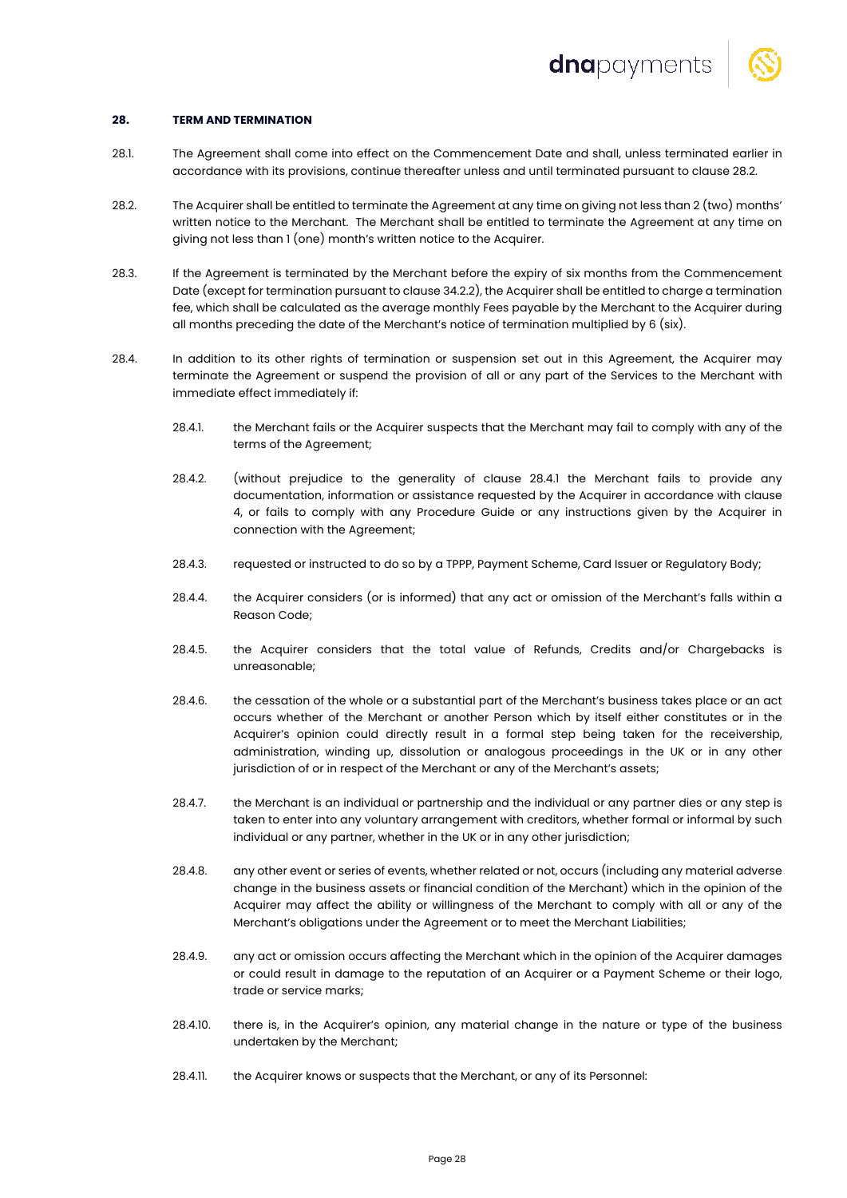

#### **28. TERM AND TERMINATION**

- 28.1. The Agreement shall come into effect on the Commencement Date and shall, unless terminated earlier in accordance with its provisions, continue thereafter unless and until terminated pursuant to clause 28.2.
- 28.2. The Acquirer shall be entitled to terminate the Agreement at any time on giving not less than 2 (two) months' written notice to the Merchant. The Merchant shall be entitled to terminate the Agreement at any time on giving not less than 1 (one) month's written notice to the Acquirer.
- 28.3. If the Agreement is terminated by the Merchant before the expiry of six months from the Commencement Date (except for termination pursuant to clause 34.2.2), the Acquirer shall be entitled to charge a termination fee, which shall be calculated as the average monthly Fees payable by the Merchant to the Acquirer during all months preceding the date of the Merchant's notice of termination multiplied by 6 (six).
- 28.4. In addition to its other rights of termination or suspension set out in this Agreement, the Acquirer may terminate the Agreement or suspend the provision of all or any part of the Services to the Merchant with immediate effect immediately if:
	- 28.4.1. the Merchant fails or the Acquirer suspects that the Merchant may fail to comply with any of the terms of the Agreement;
	- 28.4.2. (without prejudice to the generality of clause 28.4.1 the Merchant fails to provide any documentation, information or assistance requested by the Acquirer in accordance with clause 4, or fails to comply with any Procedure Guide or any instructions given by the Acquirer in connection with the Agreement;
	- 28.4.3. requested or instructed to do so by a TPPP, Payment Scheme, Card Issuer or Regulatory Body;
	- 28.4.4. the Acquirer considers (or is informed) that any act or omission of the Merchant's falls within a Reason Code;
	- 28.4.5. the Acquirer considers that the total value of Refunds, Credits and/or Chargebacks is unreasonable;
	- 28.4.6. the cessation of the whole or a substantial part of the Merchant's business takes place or an act occurs whether of the Merchant or another Person which by itself either constitutes or in the Acquirer's opinion could directly result in a formal step being taken for the receivership, administration, winding up, dissolution or analogous proceedings in the UK or in any other jurisdiction of or in respect of the Merchant or any of the Merchant's assets;
	- 28.4.7. the Merchant is an individual or partnership and the individual or any partner dies or any step is taken to enter into any voluntary arrangement with creditors, whether formal or informal by such individual or any partner, whether in the UK or in any other jurisdiction;
	- 28.4.8. any other event or series of events, whether related or not, occurs (including any material adverse change in the business assets or financial condition of the Merchant) which in the opinion of the Acquirer may affect the ability or willingness of the Merchant to comply with all or any of the Merchant's obligations under the Agreement or to meet the Merchant Liabilities;
	- 28.4.9. any act or omission occurs affecting the Merchant which in the opinion of the Acquirer damages or could result in damage to the reputation of an Acquirer or a Payment Scheme or their logo, trade or service marks;
	- 28.4.10. there is, in the Acquirer's opinion, any material change in the nature or type of the business undertaken by the Merchant;
	- 28.4.11. the Acquirer knows or suspects that the Merchant, or any of its Personnel: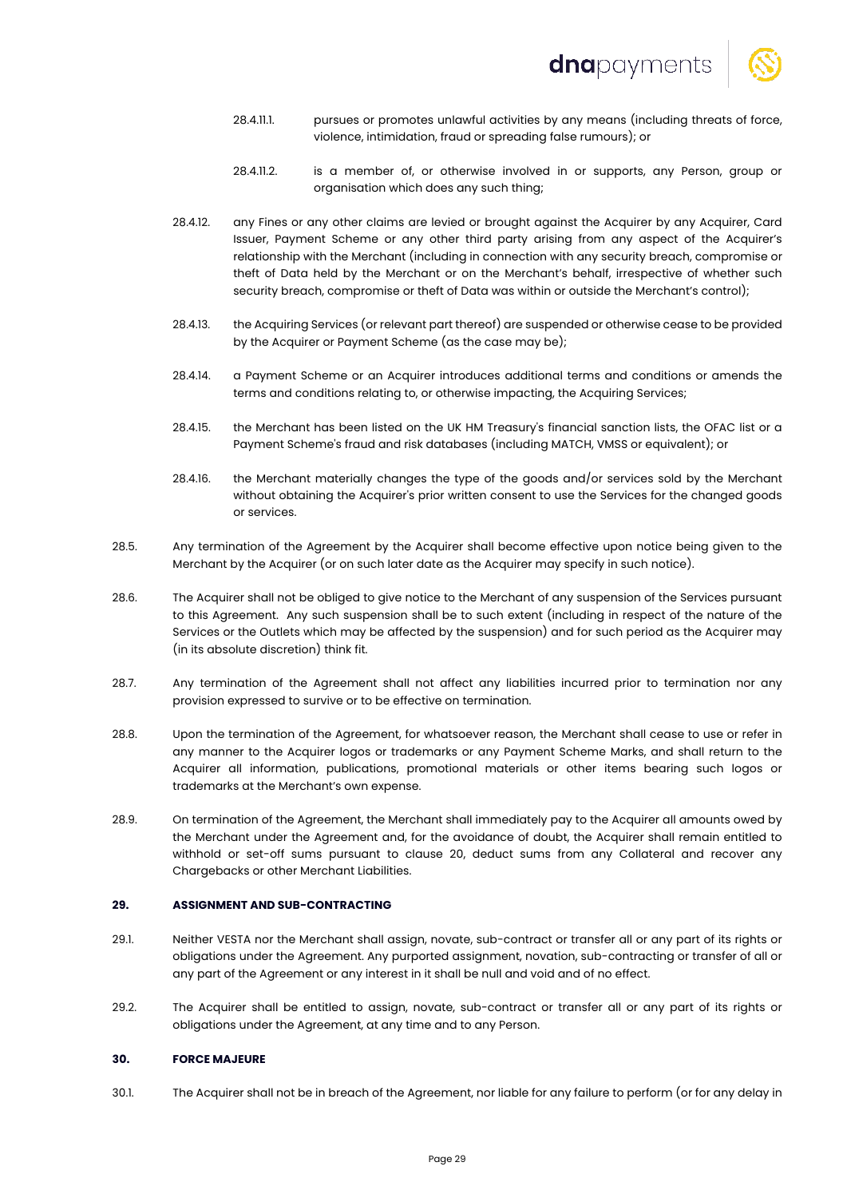

- 28.4.11.1. pursues or promotes unlawful activities by any means (including threats of force, violence, intimidation, fraud or spreading false rumours); or
- 28.4.11.2. is a member of, or otherwise involved in or supports, any Person, group or organisation which does any such thing;
- 28.4.12. any Fines or any other claims are levied or brought against the Acquirer by any Acquirer, Card Issuer, Payment Scheme or any other third party arising from any aspect of the Acquirer's relationship with the Merchant (including in connection with any security breach, compromise or theft of Data held by the Merchant or on the Merchant's behalf, irrespective of whether such security breach, compromise or theft of Data was within or outside the Merchant's control);
- 28.4.13. the Acquiring Services (or relevant part thereof) are suspended or otherwise cease to be provided by the Acquirer or Payment Scheme (as the case may be);
- 28.4.14. a Payment Scheme or an Acquirer introduces additional terms and conditions or amends the terms and conditions relating to, or otherwise impacting, the Acquiring Services;
- 28.4.15. the Merchant has been listed on the UK HM Treasury's financial sanction lists, the OFAC list or a Payment Scheme's fraud and risk databases (including MATCH, VMSS or equivalent); or
- 28.4.16. the Merchant materially changes the type of the goods and/or services sold by the Merchant without obtaining the Acquirer's prior written consent to use the Services for the changed goods or services.
- 28.5. Any termination of the Agreement by the Acquirer shall become effective upon notice being given to the Merchant by the Acquirer (or on such later date as the Acquirer may specify in such notice).
- 28.6. The Acquirer shall not be obliged to give notice to the Merchant of any suspension of the Services pursuant to this Agreement. Any such suspension shall be to such extent (including in respect of the nature of the Services or the Outlets which may be affected by the suspension) and for such period as the Acquirer may (in its absolute discretion) think fit.
- 28.7. Any termination of the Agreement shall not affect any liabilities incurred prior to termination nor any provision expressed to survive or to be effective on termination.
- 28.8. Upon the termination of the Agreement, for whatsoever reason, the Merchant shall cease to use or refer in any manner to the Acquirer logos or trademarks or any Payment Scheme Marks, and shall return to the Acquirer all information, publications, promotional materials or other items bearing such logos or trademarks at the Merchant's own expense.
- 28.9. On termination of the Agreement, the Merchant shall immediately pay to the Acquirer all amounts owed by the Merchant under the Agreement and, for the avoidance of doubt, the Acquirer shall remain entitled to withhold or set-off sums pursuant to clause 20, deduct sums from any Collateral and recover any Chargebacks or other Merchant Liabilities.

# **29. ASSIGNMENT AND SUB-CONTRACTING**

- 29.1. Neither VESTA nor the Merchant shall assign, novate, sub-contract or transfer all or any part of its rights or obligations under the Agreement. Any purported assignment, novation, sub-contracting or transfer of all or any part of the Agreement or any interest in it shall be null and void and of no effect.
- 29.2. The Acquirer shall be entitled to assign, novate, sub-contract or transfer all or any part of its rights or obligations under the Agreement, at any time and to any Person.

# **30. FORCE MAJEURE**

30.1. The Acquirer shall not be in breach of the Agreement, nor liable for any failure to perform (or for any delay in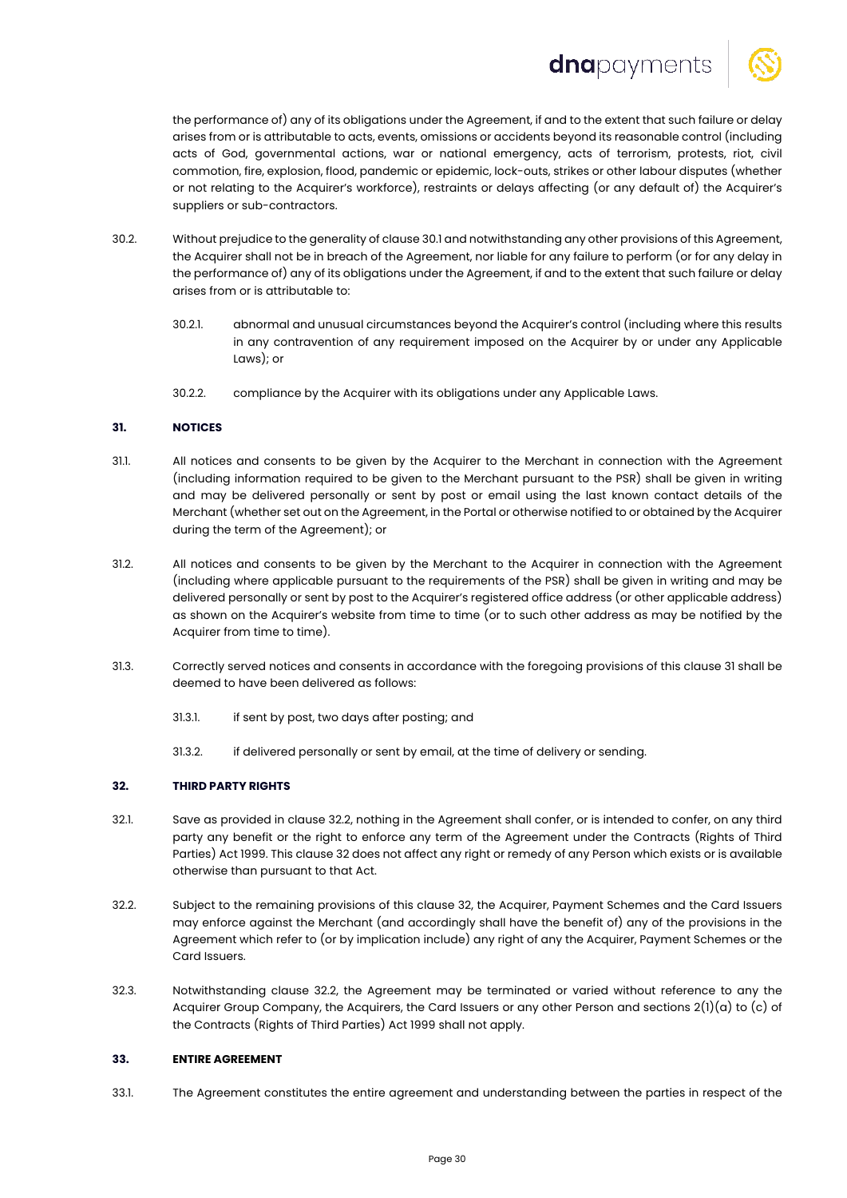# dnapayments



the performance of) any of its obligations under the Agreement, if and to the extent that such failure or delay arises from or is attributable to acts, events, omissions or accidents beyond its reasonable control (including acts of God, governmental actions, war or national emergency, acts of terrorism, protests, riot, civil commotion, fire, explosion, flood, pandemic or epidemic, lock-outs, strikes or other labour disputes (whether or not relating to the Acquirer's workforce), restraints or delays affecting (or any default of) the Acquirer's suppliers or sub-contractors.

- 30.2. Without prejudice to the generality of clause 30.1 and notwithstanding any other provisions of this Agreement, the Acquirer shall not be in breach of the Agreement, nor liable for any failure to perform (or for any delay in the performance of) any of its obligations under the Agreement, if and to the extent that such failure or delay arises from or is attributable to:
	- 30.2.1. abnormal and unusual circumstances beyond the Acquirer's control (including where this results in any contravention of any requirement imposed on the Acquirer by or under any Applicable Laws); or
	- 30.2.2. compliance by the Acquirer with its obligations under any Applicable Laws.

# **31. NOTICES**

- 31.1. All notices and consents to be given by the Acquirer to the Merchant in connection with the Agreement (including information required to be given to the Merchant pursuant to the PSR) shall be given in writing and may be delivered personally or sent by post or email using the last known contact details of the Merchant (whether set out on the Agreement, in the Portal or otherwise notified to or obtained by the Acquirer during the term of the Agreement); or
- 31.2. All notices and consents to be given by the Merchant to the Acquirer in connection with the Agreement (including where applicable pursuant to the requirements of the PSR) shall be given in writing and may be delivered personally or sent by post to the Acquirer's registered office address (or other applicable address) as shown on the Acquirer's website from time to time (or to such other address as may be notified by the Acquirer from time to time).
- 31.3. Correctly served notices and consents in accordance with the foregoing provisions of this clause 31 shall be deemed to have been delivered as follows:
	- 31.3.1. if sent by post, two days after posting; and
	- 31.3.2. if delivered personally or sent by email, at the time of delivery or sending.

# **32. THIRD PARTY RIGHTS**

- 32.1. Save as provided in clause 32.2, nothing in the Agreement shall confer, or is intended to confer, on any third party any benefit or the right to enforce any term of the Agreement under the Contracts (Rights of Third Parties) Act 1999. This clause 32 does not affect any right or remedy of any Person which exists or is available otherwise than pursuant to that Act.
- 32.2. Subject to the remaining provisions of this clause 32, the Acquirer, Payment Schemes and the Card Issuers may enforce against the Merchant (and accordingly shall have the benefit of) any of the provisions in the Agreement which refer to (or by implication include) any right of any the Acquirer, Payment Schemes or the Card Issuers.
- 32.3. Notwithstanding clause 32.2, the Agreement may be terminated or varied without reference to any the Acquirer Group Company, the Acquirers, the Card Issuers or any other Person and sections  $2(1)(a)$  to  $(c)$  of the Contracts (Rights of Third Parties) Act 1999 shall not apply.

# **33. ENTIRE AGREEMENT**

33.1. The Agreement constitutes the entire agreement and understanding between the parties in respect of the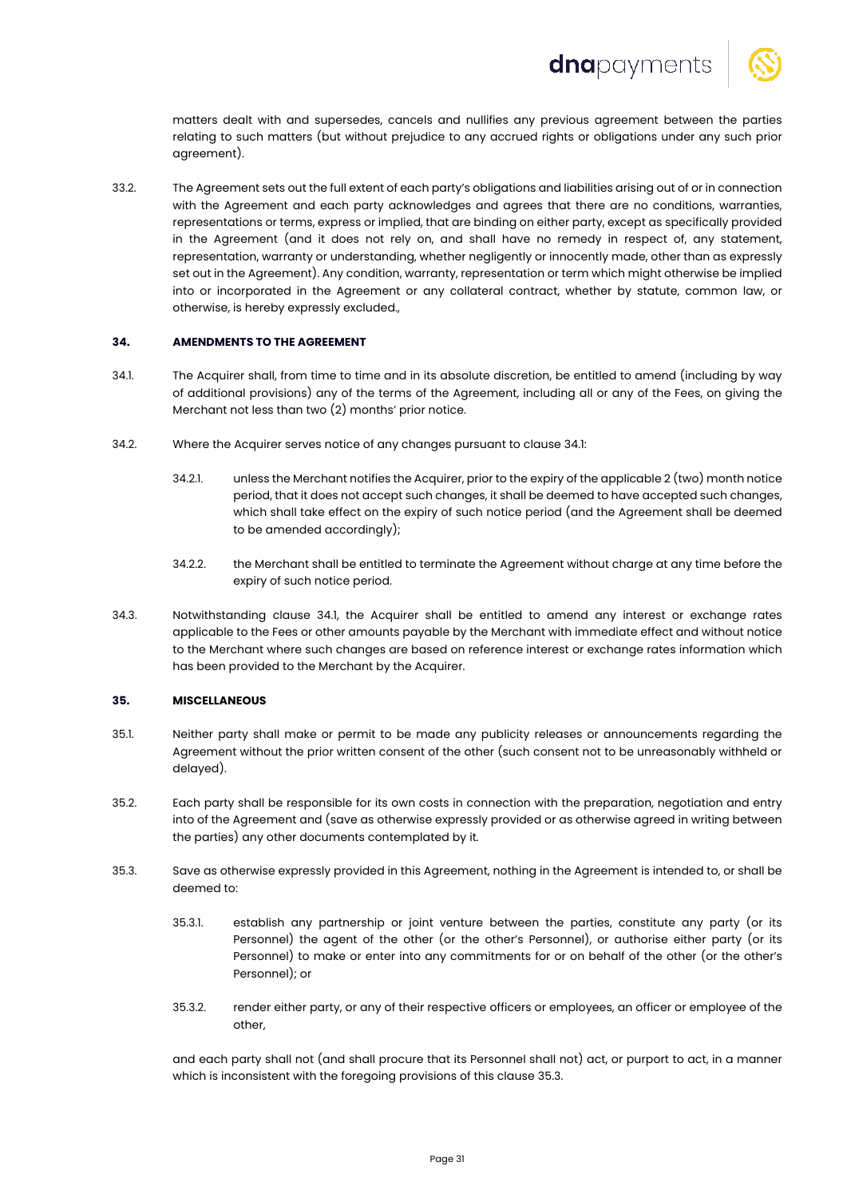

matters dealt with and supersedes, cancels and nullifies any previous agreement between the parties relating to such matters (but without prejudice to any accrued rights or obligations under any such prior agreement).

33.2. The Agreement sets out the full extent of each party's obligations and liabilities arising out of or in connection with the Agreement and each party acknowledges and agrees that there are no conditions, warranties, representations or terms, express or implied, that are binding on either party, except as specifically provided in the Agreement (and it does not rely on, and shall have no remedy in respect of, any statement, representation, warranty or understanding, whether negligently or innocently made, other than as expressly set out in the Agreement). Any condition, warranty, representation or term which might otherwise be implied into or incorporated in the Agreement or any collateral contract, whether by statute, common law, or otherwise, is hereby expressly excluded.,

# **34. AMENDMENTS TO THE AGREEMENT**

- 34.1. The Acquirer shall, from time to time and in its absolute discretion, be entitled to amend (including by way of additional provisions) any of the terms of the Agreement, including all or any of the Fees, on giving the Merchant not less than two (2) months' prior notice.
- 34.2. Where the Acquirer serves notice of any changes pursuant to clause 34.1:
	- 34.2.1. unless the Merchant notifies the Acquirer, prior to the expiry of the applicable 2 (two) month notice period, that it does not accept such changes, it shall be deemed to have accepted such changes, which shall take effect on the expiry of such notice period (and the Agreement shall be deemed to be amended accordingly);
	- 34.2.2. the Merchant shall be entitled to terminate the Agreement without charge at any time before the expiry of such notice period.
- 34.3. Notwithstanding clause 34.1, the Acquirer shall be entitled to amend any interest or exchange rates applicable to the Fees or other amounts payable by the Merchant with immediate effect and without notice to the Merchant where such changes are based on reference interest or exchange rates information which has been provided to the Merchant by the Acquirer.

# **35. MISCELLANEOUS**

- 35.1. Neither party shall make or permit to be made any publicity releases or announcements regarding the Agreement without the prior written consent of the other (such consent not to be unreasonably withheld or delayed).
- 35.2. Each party shall be responsible for its own costs in connection with the preparation, negotiation and entry into of the Agreement and (save as otherwise expressly provided or as otherwise agreed in writing between the parties) any other documents contemplated by it.
- 35.3. Save as otherwise expressly provided in this Agreement, nothing in the Agreement is intended to, or shall be deemed to:
	- 35.3.1. establish any partnership or joint venture between the parties, constitute any party (or its Personnel) the agent of the other (or the other's Personnel), or authorise either party (or its Personnel) to make or enter into any commitments for or on behalf of the other (or the other's Personnel); or
	- 35.3.2. render either party, or any of their respective officers or employees, an officer or employee of the other,

and each party shall not (and shall procure that its Personnel shall not) act, or purport to act, in a manner which is inconsistent with the foregoing provisions of this clause 35.3.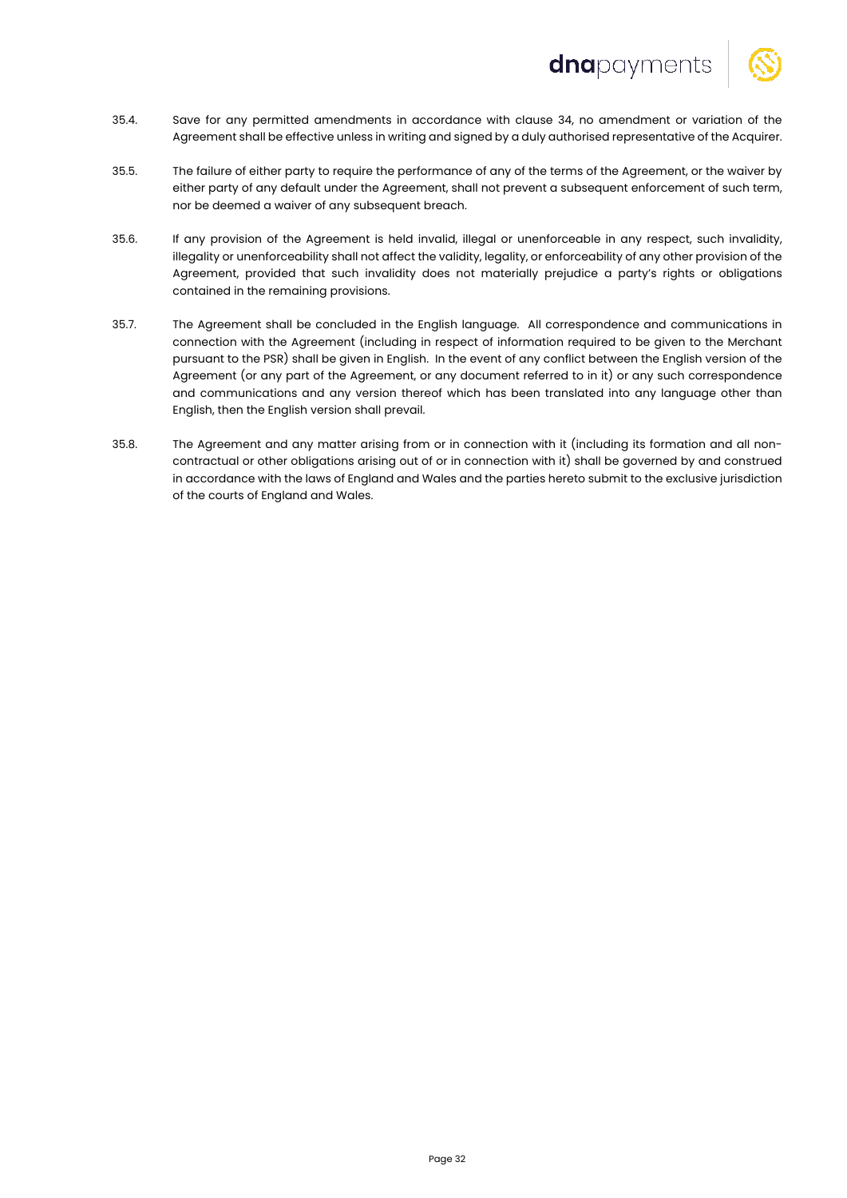

- 35.4. Save for any permitted amendments in accordance with clause 34, no amendment or variation of the Agreement shall be effective unless in writing and signed by a duly authorised representative of the Acquirer.
- 35.5. The failure of either party to require the performance of any of the terms of the Agreement, or the waiver by either party of any default under the Agreement, shall not prevent a subsequent enforcement of such term, nor be deemed a waiver of any subsequent breach.
- 35.6. If any provision of the Agreement is held invalid, illegal or unenforceable in any respect, such invalidity, illegality or unenforceability shall not affect the validity, legality, or enforceability of any other provision of the Agreement, provided that such invalidity does not materially prejudice a party's rights or obligations contained in the remaining provisions.
- 35.7. The Agreement shall be concluded in the English language. All correspondence and communications in connection with the Agreement (including in respect of information required to be given to the Merchant pursuant to the PSR) shall be given in English. In the event of any conflict between the English version of the Agreement (or any part of the Agreement, or any document referred to in it) or any such correspondence and communications and any version thereof which has been translated into any language other than English, then the English version shall prevail.
- 35.8. The Agreement and any matter arising from or in connection with it (including its formation and all noncontractual or other obligations arising out of or in connection with it) shall be governed by and construed in accordance with the laws of England and Wales and the parties hereto submit to the exclusive jurisdiction of the courts of England and Wales.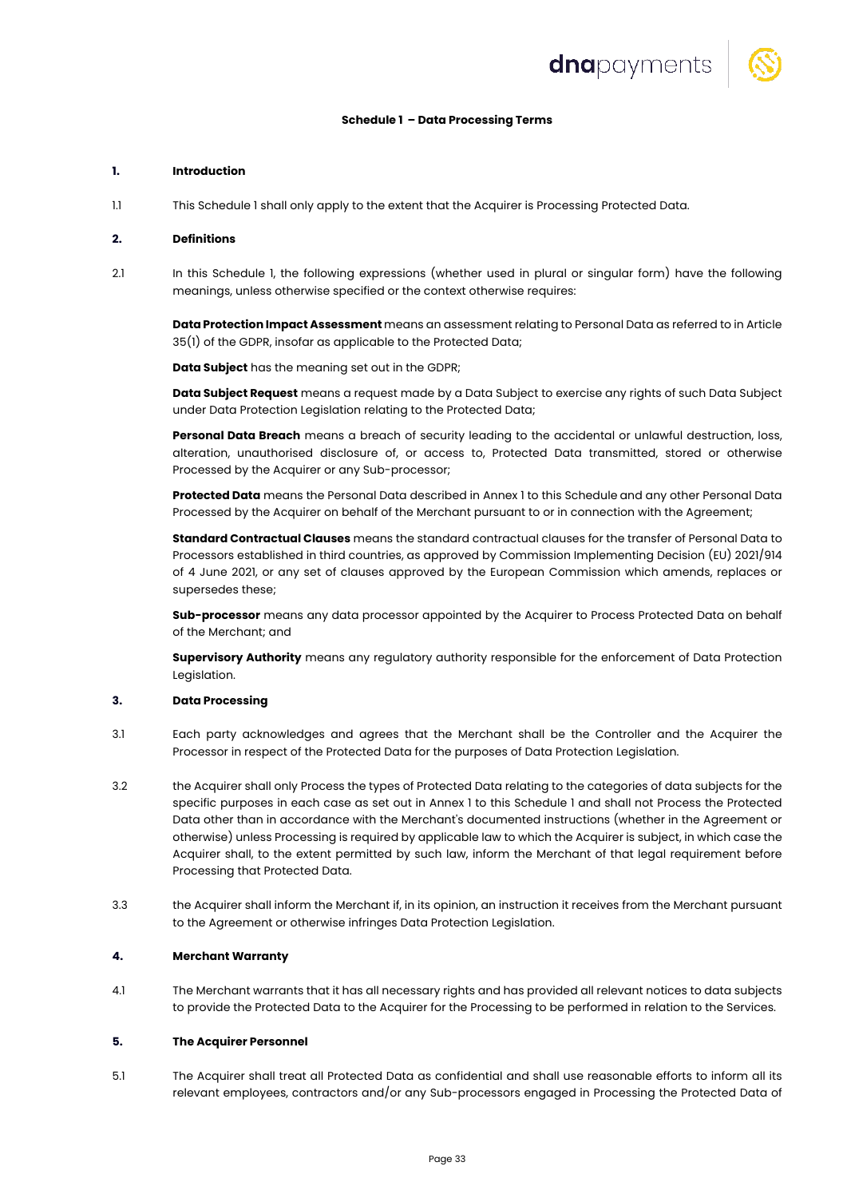

# **Schedule 1 – Data Processing Terms**

#### **1. Introduction**

1.1 This Schedule 1 shall only apply to the extent that the Acquirer is Processing Protected Data.

#### **2. Definitions**

2.1 In this Schedule 1, the following expressions (whether used in plural or singular form) have the following meanings, unless otherwise specified or the context otherwise requires:

**Data Protection Impact Assessment** means an assessment relating to Personal Data as referred to in Article 35(1) of the GDPR, insofar as applicable to the Protected Data;

**Data Subject** has the meaning set out in the GDPR;

**Data Subject Request** means a request made by a Data Subject to exercise any rights of such Data Subject under Data Protection Legislation relating to the Protected Data;

**Personal Data Breach** means a breach of security leading to the accidental or unlawful destruction, loss, alteration, unauthorised disclosure of, or access to, Protected Data transmitted, stored or otherwise Processed by the Acquirer or any Sub-processor;

**Protected Data** means the Personal Data described in Annex 1 to this Schedule and any other Personal Data Processed by the Acquirer on behalf of the Merchant pursuant to or in connection with the Agreement;

**Standard Contractual Clauses** means the standard contractual clauses for the transfer of Personal Data to Processors established in third countries, as approved by Commission Implementing Decision (EU) 2021/914 of 4 June 2021, or any set of clauses approved by the European Commission which amends, replaces or supersedes these;

**Sub-processor** means any data processor appointed by the Acquirer to Process Protected Data on behalf of the Merchant; and

**Supervisory Authority** means any regulatory authority responsible for the enforcement of Data Protection Legislation.

## **3. Data Processing**

- 3.1 Each party acknowledges and agrees that the Merchant shall be the Controller and the Acquirer the Processor in respect of the Protected Data for the purposes of Data Protection Legislation.
- 3.2 the Acquirer shall only Process the types of Protected Data relating to the categories of data subjects for the specific purposes in each case as set out in Annex 1 to this Schedule 1 and shall not Process the Protected Data other than in accordance with the Merchant's documented instructions (whether in the Agreement or otherwise) unless Processing is required by applicable law to which the Acquirer is subject, in which case the Acquirer shall, to the extent permitted by such law, inform the Merchant of that legal requirement before Processing that Protected Data.
- 3.3 the Acquirer shall inform the Merchant if, in its opinion, an instruction it receives from the Merchant pursuant to the Agreement or otherwise infringes Data Protection Legislation.

#### **4. Merchant Warranty**

4.1 The Merchant warrants that it has all necessary rights and has provided all relevant notices to data subjects to provide the Protected Data to the Acquirer for the Processing to be performed in relation to the Services.

#### **5. The Acquirer Personnel**

5.1 The Acquirer shall treat all Protected Data as confidential and shall use reasonable efforts to inform all its relevant employees, contractors and/or any Sub-processors engaged in Processing the Protected Data of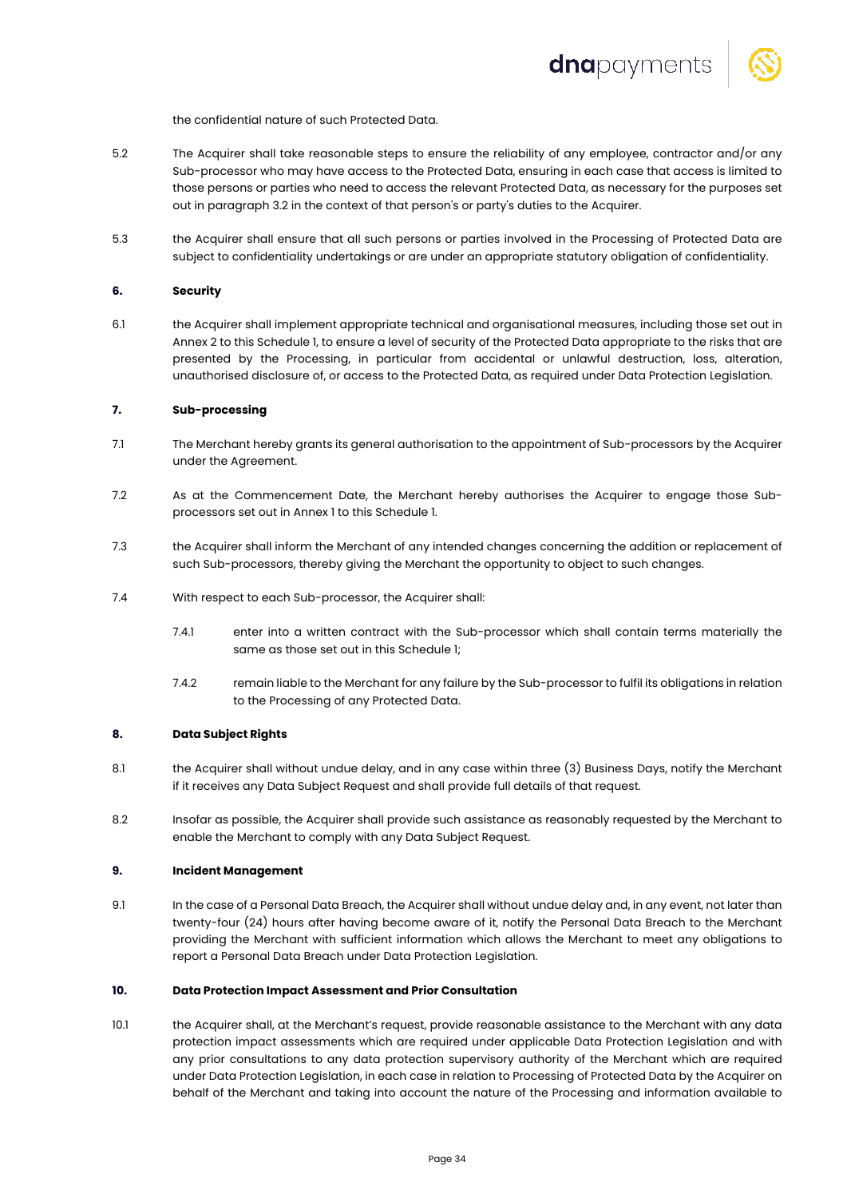

the confidential nature of such Protected Data.

- 5.2 The Acquirer shall take reasonable steps to ensure the reliability of any employee, contractor and/or any Sub-processor who may have access to the Protected Data, ensuring in each case that access is limited to those persons or parties who need to access the relevant Protected Data, as necessary for the purposes set out in paragraph 3.2 in the context of that person's or party's duties to the Acquirer.
- 5.3 the Acquirer shall ensure that all such persons or parties involved in the Processing of Protected Data are subject to confidentiality undertakings or are under an appropriate statutory obligation of confidentiality.

# **6. Security**

6.1 the Acquirer shall implement appropriate technical and organisational measures, including those set out in Annex 2 to this Schedule 1, to ensure a level of security of the Protected Data appropriate to the risks that are presented by the Processing, in particular from accidental or unlawful destruction, loss, alteration, unauthorised disclosure of, or access to the Protected Data, as required under Data Protection Legislation.

#### **7. Sub-processing**

- 7.1 The Merchant hereby grants its general authorisation to the appointment of Sub-processors by the Acquirer under the Agreement.
- 7.2 As at the Commencement Date, the Merchant hereby authorises the Acquirer to engage those Subprocessors set out in Annex 1 to this Schedule 1.
- 7.3 the Acquirer shall inform the Merchant of any intended changes concerning the addition or replacement of such Sub-processors, thereby giving the Merchant the opportunity to object to such changes.
- 7.4 With respect to each Sub-processor, the Acquirer shall:
	- 7.4.1 enter into a written contract with the Sub-processor which shall contain terms materially the same as those set out in this Schedule 1;
	- 7.4.2 remain liable to the Merchant for any failure by the Sub-processor to fulfil its obligations in relation to the Processing of any Protected Data.

#### **8. Data Subject Rights**

- 8.1 the Acquirer shall without undue delay, and in any case within three (3) Business Days, notify the Merchant if it receives any Data Subject Request and shall provide full details of that request.
- 8.2 Insofar as possible, the Acquirer shall provide such assistance as reasonably requested by the Merchant to enable the Merchant to comply with any Data Subject Request.

## **9. Incident Management**

9.1 In the case of a Personal Data Breach, the Acquirer shall without undue delay and, in any event, not later than twenty-four (24) hours after having become aware of it, notify the Personal Data Breach to the Merchant providing the Merchant with sufficient information which allows the Merchant to meet any obligations to report a Personal Data Breach under Data Protection Legislation.

## **10. Data Protection Impact Assessment and Prior Consultation**

10.1 the Acquirer shall, at the Merchant's request, provide reasonable assistance to the Merchant with any data protection impact assessments which are required under applicable Data Protection Legislation and with any prior consultations to any data protection supervisory authority of the Merchant which are required under Data Protection Legislation, in each case in relation to Processing of Protected Data by the Acquirer on behalf of the Merchant and taking into account the nature of the Processing and information available to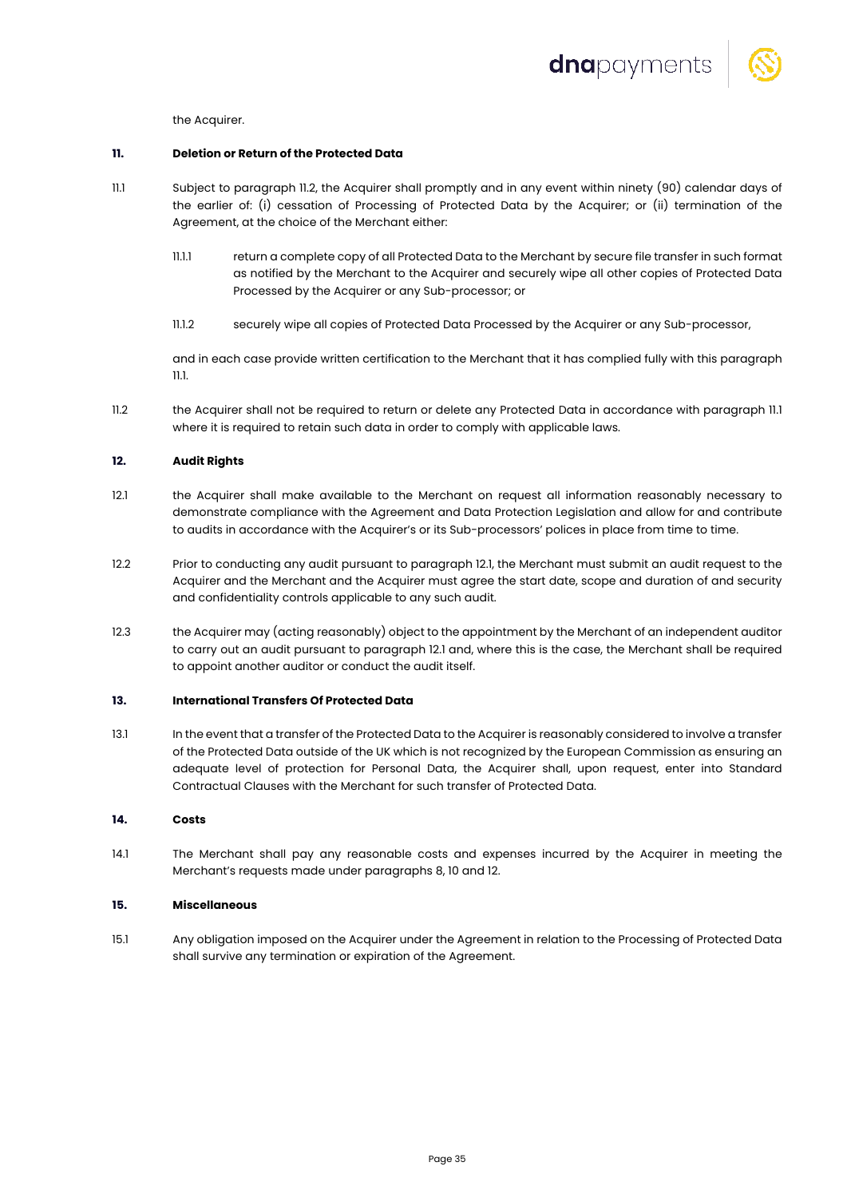

the Acquirer.

# **11. Deletion or Return of the Protected Data**

- 11.1 Subject to paragraph 11.2, the Acquirer shall promptly and in any event within ninety (90) calendar days of the earlier of: (i) cessation of Processing of Protected Data by the Acquirer; or (ii) termination of the Agreement, at the choice of the Merchant either:
	- 11.1.1 return a complete copy of all Protected Data to the Merchant by secure file transfer in such format as notified by the Merchant to the Acquirer and securely wipe all other copies of Protected Data Processed by the Acquirer or any Sub-processor; or
	- 11.1.2 securely wipe all copies of Protected Data Processed by the Acquirer or any Sub-processor,

and in each case provide written certification to the Merchant that it has complied fully with this paragraph 11.1.

11.2 the Acquirer shall not be required to return or delete any Protected Data in accordance with paragraph 11.1 where it is required to retain such data in order to comply with applicable laws.

# **12. Audit Rights**

- 12.1 the Acquirer shall make available to the Merchant on request all information reasonably necessary to demonstrate compliance with the Agreement and Data Protection Legislation and allow for and contribute to audits in accordance with the Acquirer's or its Sub-processors' polices in place from time to time.
- 12.2 Prior to conducting any audit pursuant to paragraph 12.1, the Merchant must submit an audit request to the Acquirer and the Merchant and the Acquirer must agree the start date, scope and duration of and security and confidentiality controls applicable to any such audit.
- 12.3 the Acquirer may (acting reasonably) object to the appointment by the Merchant of an independent auditor to carry out an audit pursuant to paragraph 12.1 and, where this is the case, the Merchant shall be required to appoint another auditor or conduct the audit itself.

# **13. International Transfers Of Protected Data**

13.1 In the event that a transfer of the Protected Data to the Acquirer is reasonably considered to involve a transfer of the Protected Data outside of the UK which is not recognized by the European Commission as ensuring an adequate level of protection for Personal Data, the Acquirer shall, upon request, enter into Standard Contractual Clauses with the Merchant for such transfer of Protected Data.

# **14. Costs**

14.1 The Merchant shall pay any reasonable costs and expenses incurred by the Acquirer in meeting the Merchant's requests made under paragraphs 8, 10 and 12.

#### **15. Miscellaneous**

15.1 Any obligation imposed on the Acquirer under the Agreement in relation to the Processing of Protected Data shall survive any termination or expiration of the Agreement.